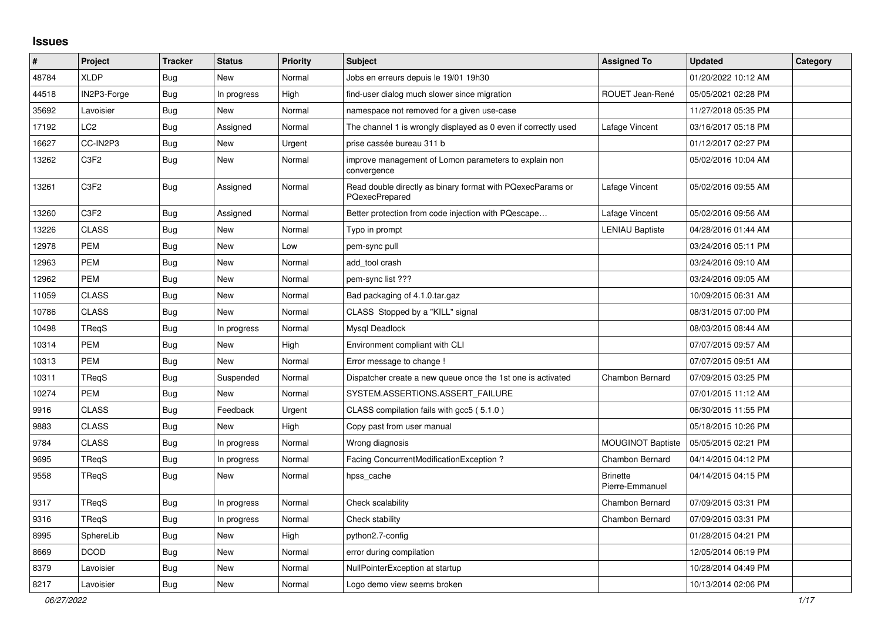## **Issues**

| $\#$  | Project                       | <b>Tracker</b> | <b>Status</b> | <b>Priority</b> | <b>Subject</b>                                                               | <b>Assigned To</b>                 | <b>Updated</b>      | Category |
|-------|-------------------------------|----------------|---------------|-----------------|------------------------------------------------------------------------------|------------------------------------|---------------------|----------|
| 48784 | <b>XLDP</b>                   | Bug            | <b>New</b>    | Normal          | Jobs en erreurs depuis le 19/01 19h30                                        |                                    | 01/20/2022 10:12 AM |          |
| 44518 | IN2P3-Forge                   | Bug            | In progress   | High            | find-user dialog much slower since migration                                 | ROUET Jean-René                    | 05/05/2021 02:28 PM |          |
| 35692 | Lavoisier                     | Bug            | New           | Normal          | namespace not removed for a given use-case                                   |                                    | 11/27/2018 05:35 PM |          |
| 17192 | LC <sub>2</sub>               | Bug            | Assigned      | Normal          | The channel 1 is wrongly displayed as 0 even if correctly used               | Lafage Vincent                     | 03/16/2017 05:18 PM |          |
| 16627 | CC-IN2P3                      | Bug            | New           | Urgent          | prise cassée bureau 311 b                                                    |                                    | 01/12/2017 02:27 PM |          |
| 13262 | C <sub>3</sub> F <sub>2</sub> | <b>Bug</b>     | <b>New</b>    | Normal          | improve management of Lomon parameters to explain non<br>convergence         |                                    | 05/02/2016 10:04 AM |          |
| 13261 | C3F2                          | <b>Bug</b>     | Assigned      | Normal          | Read double directly as binary format with PQexecParams or<br>PQexecPrepared | Lafage Vincent                     | 05/02/2016 09:55 AM |          |
| 13260 | C3F2                          | <b>Bug</b>     | Assigned      | Normal          | Better protection from code injection with PQescape                          | Lafage Vincent                     | 05/02/2016 09:56 AM |          |
| 13226 | <b>CLASS</b>                  | Bug            | New           | Normal          | Typo in prompt                                                               | <b>LENIAU Baptiste</b>             | 04/28/2016 01:44 AM |          |
| 12978 | <b>PEM</b>                    | Bug            | New           | Low             | pem-sync pull                                                                |                                    | 03/24/2016 05:11 PM |          |
| 12963 | PEM                           | <b>Bug</b>     | New           | Normal          | add_tool crash                                                               |                                    | 03/24/2016 09:10 AM |          |
| 12962 | <b>PEM</b>                    | <b>Bug</b>     | New           | Normal          | pem-sync list ???                                                            |                                    | 03/24/2016 09:05 AM |          |
| 11059 | <b>CLASS</b>                  | Bug            | New           | Normal          | Bad packaging of 4.1.0.tar.gaz                                               |                                    | 10/09/2015 06:31 AM |          |
| 10786 | <b>CLASS</b>                  | Bug            | New           | Normal          | CLASS Stopped by a "KILL" signal                                             |                                    | 08/31/2015 07:00 PM |          |
| 10498 | TRegS                         | <b>Bug</b>     | In progress   | Normal          | Mysgl Deadlock                                                               |                                    | 08/03/2015 08:44 AM |          |
| 10314 | <b>PEM</b>                    | Bug            | <b>New</b>    | High            | Environment compliant with CLI                                               |                                    | 07/07/2015 09:57 AM |          |
| 10313 | <b>PEM</b>                    | <b>Bug</b>     | <b>New</b>    | Normal          | Error message to change !                                                    |                                    | 07/07/2015 09:51 AM |          |
| 10311 | TReqS                         | <b>Bug</b>     | Suspended     | Normal          | Dispatcher create a new queue once the 1st one is activated                  | Chambon Bernard                    | 07/09/2015 03:25 PM |          |
| 10274 | <b>PEM</b>                    | <b>Bug</b>     | <b>New</b>    | Normal          | SYSTEM.ASSERTIONS.ASSERT FAILURE                                             |                                    | 07/01/2015 11:12 AM |          |
| 9916  | <b>CLASS</b>                  | Bug            | Feedback      | Urgent          | CLASS compilation fails with gcc5 (5.1.0)                                    |                                    | 06/30/2015 11:55 PM |          |
| 9883  | <b>CLASS</b>                  | <b>Bug</b>     | <b>New</b>    | High            | Copy past from user manual                                                   |                                    | 05/18/2015 10:26 PM |          |
| 9784  | <b>CLASS</b>                  | <b>Bug</b>     | In progress   | Normal          | Wrong diagnosis                                                              | <b>MOUGINOT Baptiste</b>           | 05/05/2015 02:21 PM |          |
| 9695  | <b>TRegS</b>                  | Bug            | In progress   | Normal          | Facing ConcurrentModificationException?                                      | Chambon Bernard                    | 04/14/2015 04:12 PM |          |
| 9558  | <b>TRegS</b>                  | <b>Bug</b>     | <b>New</b>    | Normal          | hpss_cache                                                                   | <b>Brinette</b><br>Pierre-Emmanuel | 04/14/2015 04:15 PM |          |
| 9317  | TReqS                         | Bug            | In progress   | Normal          | Check scalability                                                            | <b>Chambon Bernard</b>             | 07/09/2015 03:31 PM |          |
| 9316  | <b>TRegS</b>                  | <b>Bug</b>     | In progress   | Normal          | Check stability                                                              | <b>Chambon Bernard</b>             | 07/09/2015 03:31 PM |          |
| 8995  | SphereLib                     | <b>Bug</b>     | New           | High            | python2.7-config                                                             |                                    | 01/28/2015 04:21 PM |          |
| 8669  | <b>DCOD</b>                   | <b>Bug</b>     | New           | Normal          | error during compilation                                                     |                                    | 12/05/2014 06:19 PM |          |
| 8379  | Lavoisier                     | Bug            | New           | Normal          | NullPointerException at startup                                              |                                    | 10/28/2014 04:49 PM |          |
| 8217  | Lavoisier                     | <b>Bug</b>     | New           | Normal          | Logo demo view seems broken                                                  |                                    | 10/13/2014 02:06 PM |          |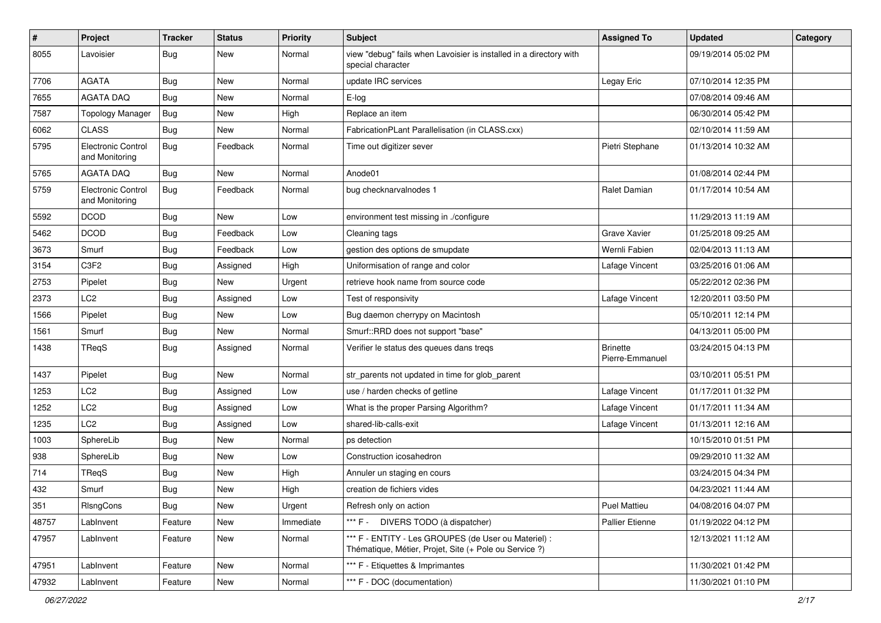| $\#$  | Project                                     | <b>Tracker</b> | <b>Status</b> | <b>Priority</b> | Subject                                                                                                        | <b>Assigned To</b>                 | <b>Updated</b>      | Category |
|-------|---------------------------------------------|----------------|---------------|-----------------|----------------------------------------------------------------------------------------------------------------|------------------------------------|---------------------|----------|
| 8055  | Lavoisier                                   | <b>Bug</b>     | New           | Normal          | view "debug" fails when Lavoisier is installed in a directory with<br>special character                        |                                    | 09/19/2014 05:02 PM |          |
| 7706  | <b>AGATA</b>                                | Bug            | New           | Normal          | update IRC services                                                                                            | Legay Eric                         | 07/10/2014 12:35 PM |          |
| 7655  | <b>AGATA DAQ</b>                            | <b>Bug</b>     | New           | Normal          | E-log                                                                                                          |                                    | 07/08/2014 09:46 AM |          |
| 7587  | <b>Topology Manager</b>                     | <b>Bug</b>     | New           | High            | Replace an item                                                                                                |                                    | 06/30/2014 05:42 PM |          |
| 6062  | <b>CLASS</b>                                | <b>Bug</b>     | New           | Normal          | FabricationPLant Parallelisation (in CLASS.cxx)                                                                |                                    | 02/10/2014 11:59 AM |          |
| 5795  | <b>Electronic Control</b><br>and Monitoring | <b>Bug</b>     | Feedback      | Normal          | Time out digitizer sever                                                                                       | Pietri Stephane                    | 01/13/2014 10:32 AM |          |
| 5765  | <b>AGATA DAQ</b>                            | Bug            | New           | Normal          | Anode01                                                                                                        |                                    | 01/08/2014 02:44 PM |          |
| 5759  | Electronic Control<br>and Monitoring        | Bug            | Feedback      | Normal          | bug checknarvalnodes 1                                                                                         | Ralet Damian                       | 01/17/2014 10:54 AM |          |
| 5592  | <b>DCOD</b>                                 | <b>Bug</b>     | New           | Low             | environment test missing in ./configure                                                                        |                                    | 11/29/2013 11:19 AM |          |
| 5462  | <b>DCOD</b>                                 | Bug            | Feedback      | Low             | Cleaning tags                                                                                                  | Grave Xavier                       | 01/25/2018 09:25 AM |          |
| 3673  | Smurf                                       | <b>Bug</b>     | Feedback      | Low             | gestion des options de smupdate                                                                                | Wernli Fabien                      | 02/04/2013 11:13 AM |          |
| 3154  | C3F2                                        | <b>Bug</b>     | Assigned      | High            | Uniformisation of range and color                                                                              | Lafage Vincent                     | 03/25/2016 01:06 AM |          |
| 2753  | Pipelet                                     | <b>Bug</b>     | New           | Urgent          | retrieve hook name from source code                                                                            |                                    | 05/22/2012 02:36 PM |          |
| 2373  | LC <sub>2</sub>                             | <b>Bug</b>     | Assigned      | Low             | Test of responsivity                                                                                           | Lafage Vincent                     | 12/20/2011 03:50 PM |          |
| 1566  | Pipelet                                     | Bug            | New           | Low             | Bug daemon cherrypy on Macintosh                                                                               |                                    | 05/10/2011 12:14 PM |          |
| 1561  | Smurf                                       | <b>Bug</b>     | New           | Normal          | Smurf::RRD does not support "base"                                                                             |                                    | 04/13/2011 05:00 PM |          |
| 1438  | TReqS                                       | <b>Bug</b>     | Assigned      | Normal          | Verifier le status des queues dans treqs                                                                       | <b>Brinette</b><br>Pierre-Emmanuel | 03/24/2015 04:13 PM |          |
| 1437  | Pipelet                                     | <b>Bug</b>     | New           | Normal          | str_parents not updated in time for glob_parent                                                                |                                    | 03/10/2011 05:51 PM |          |
| 1253  | LC <sub>2</sub>                             | <b>Bug</b>     | Assigned      | Low             | use / harden checks of getline                                                                                 | Lafage Vincent                     | 01/17/2011 01:32 PM |          |
| 1252  | LC <sub>2</sub>                             | <b>Bug</b>     | Assigned      | Low             | What is the proper Parsing Algorithm?                                                                          | Lafage Vincent                     | 01/17/2011 11:34 AM |          |
| 1235  | LC <sub>2</sub>                             | <b>Bug</b>     | Assigned      | Low             | shared-lib-calls-exit                                                                                          | Lafage Vincent                     | 01/13/2011 12:16 AM |          |
| 1003  | SphereLib                                   | Bug            | New           | Normal          | ps detection                                                                                                   |                                    | 10/15/2010 01:51 PM |          |
| 938   | SphereLib                                   | <b>Bug</b>     | New           | Low             | Construction icosahedron                                                                                       |                                    | 09/29/2010 11:32 AM |          |
| 714   | TReqS                                       | <b>Bug</b>     | New           | High            | Annuler un staging en cours                                                                                    |                                    | 03/24/2015 04:34 PM |          |
| 432   | Smurf                                       | <b>Bug</b>     | New           | High            | creation de fichiers vides                                                                                     |                                    | 04/23/2021 11:44 AM |          |
| 351   | RIsngCons                                   | <b>Bug</b>     | New           | Urgent          | Refresh only on action                                                                                         | <b>Puel Mattieu</b>                | 04/08/2016 04:07 PM |          |
| 48757 | LabInvent                                   | Feature        | New           | Immediate       | *** F - DIVERS TODO (à dispatcher)                                                                             | Pallier Etienne                    | 01/19/2022 04:12 PM |          |
| 47957 | LabInvent                                   | Feature        | New           | Normal          | *** F - ENTITY - Les GROUPES (de User ou Materiel) :<br>Thématique, Métier, Projet, Site (+ Pole ou Service ?) |                                    | 12/13/2021 11:12 AM |          |
| 47951 | LabInvent                                   | Feature        | New           | Normal          | *** F - Etiquettes & Imprimantes                                                                               |                                    | 11/30/2021 01:42 PM |          |
| 47932 | LabInvent                                   | Feature        | New           | Normal          | *** F - DOC (documentation)                                                                                    |                                    | 11/30/2021 01:10 PM |          |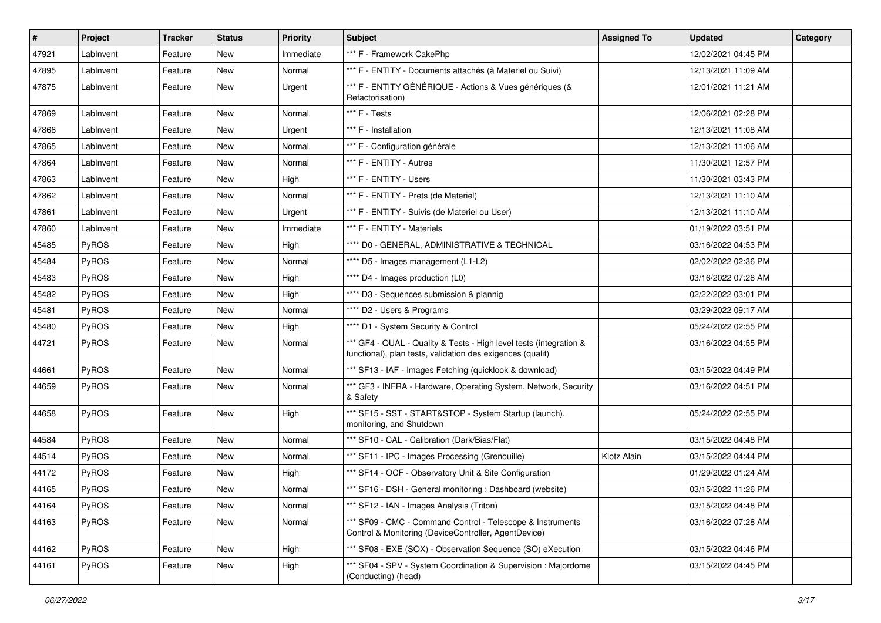| $\vert$ # | Project      | <b>Tracker</b> | <b>Status</b> | <b>Priority</b> | <b>Subject</b>                                                                                                                   | <b>Assigned To</b> | <b>Updated</b>      | Category |
|-----------|--------------|----------------|---------------|-----------------|----------------------------------------------------------------------------------------------------------------------------------|--------------------|---------------------|----------|
| 47921     | LabInvent    | Feature        | New           | Immediate       | *** F - Framework CakePhp                                                                                                        |                    | 12/02/2021 04:45 PM |          |
| 47895     | LabInvent    | Feature        | New           | Normal          | *** F - ENTITY - Documents attachés (à Materiel ou Suivi)                                                                        |                    | 12/13/2021 11:09 AM |          |
| 47875     | LabInvent    | Feature        | New           | Urgent          | *** F - ENTITY GÉNÉRIQUE - Actions & Vues génériques (&<br>Refactorisation)                                                      |                    | 12/01/2021 11:21 AM |          |
| 47869     | LabInvent    | Feature        | New           | Normal          | *** F - Tests                                                                                                                    |                    | 12/06/2021 02:28 PM |          |
| 47866     | LabInvent    | Feature        | New           | Urgent          | *** F - Installation                                                                                                             |                    | 12/13/2021 11:08 AM |          |
| 47865     | LabInvent    | Feature        | New           | Normal          | *** F - Configuration générale                                                                                                   |                    | 12/13/2021 11:06 AM |          |
| 47864     | LabInvent    | Feature        | New           | Normal          | *** F - ENTITY - Autres                                                                                                          |                    | 11/30/2021 12:57 PM |          |
| 47863     | LabInvent    | Feature        | New           | High            | *** F - ENTITY - Users                                                                                                           |                    | 11/30/2021 03:43 PM |          |
| 47862     | LabInvent    | Feature        | New           | Normal          | *** F - ENTITY - Prets (de Materiel)                                                                                             |                    | 12/13/2021 11:10 AM |          |
| 47861     | LabInvent    | Feature        | New           | Urgent          | *** F - ENTITY - Suivis (de Materiel ou User)                                                                                    |                    | 12/13/2021 11:10 AM |          |
| 47860     | LabInvent    | Feature        | New           | Immediate       | *** F - ENTITY - Materiels                                                                                                       |                    | 01/19/2022 03:51 PM |          |
| 45485     | PyROS        | Feature        | New           | High            | **** D0 - GENERAL, ADMINISTRATIVE & TECHNICAL                                                                                    |                    | 03/16/2022 04:53 PM |          |
| 45484     | PyROS        | Feature        | New           | Normal          | **** D5 - Images management (L1-L2)                                                                                              |                    | 02/02/2022 02:36 PM |          |
| 45483     | PyROS        | Feature        | New           | High            | **** D4 - Images production (L0)                                                                                                 |                    | 03/16/2022 07:28 AM |          |
| 45482     | PyROS        | Feature        | New           | High            | **** D3 - Sequences submission & plannig                                                                                         |                    | 02/22/2022 03:01 PM |          |
| 45481     | PyROS        | Feature        | New           | Normal          | **** D2 - Users & Programs                                                                                                       |                    | 03/29/2022 09:17 AM |          |
| 45480     | PyROS        | Feature        | New           | High            | **** D1 - System Security & Control                                                                                              |                    | 05/24/2022 02:55 PM |          |
| 44721     | PyROS        | Feature        | New           | Normal          | *** GF4 - QUAL - Quality & Tests - High level tests (integration &<br>functional), plan tests, validation des exigences (qualif) |                    | 03/16/2022 04:55 PM |          |
| 44661     | PyROS        | Feature        | New           | Normal          | *** SF13 - IAF - Images Fetching (quicklook & download)                                                                          |                    | 03/15/2022 04:49 PM |          |
| 44659     | PyROS        | Feature        | New           | Normal          | *** GF3 - INFRA - Hardware, Operating System, Network, Security<br>& Safety                                                      |                    | 03/16/2022 04:51 PM |          |
| 44658     | <b>PyROS</b> | Feature        | New           | High            | *** SF15 - SST - START&STOP - System Startup (launch),<br>monitoring, and Shutdown                                               |                    | 05/24/2022 02:55 PM |          |
| 44584     | PyROS        | Feature        | New           | Normal          | *** SF10 - CAL - Calibration (Dark/Bias/Flat)                                                                                    |                    | 03/15/2022 04:48 PM |          |
| 44514     | PyROS        | Feature        | New           | Normal          | *** SF11 - IPC - Images Processing (Grenouille)                                                                                  | Klotz Alain        | 03/15/2022 04:44 PM |          |
| 44172     | PyROS        | Feature        | New           | High            | *** SF14 - OCF - Observatory Unit & Site Configuration                                                                           |                    | 01/29/2022 01:24 AM |          |
| 44165     | PyROS        | Feature        | New           | Normal          | *** SF16 - DSH - General monitoring : Dashboard (website)                                                                        |                    | 03/15/2022 11:26 PM |          |
| 44164     | PyROS        | Feature        | New           | Normal          | *** SF12 - IAN - Images Analysis (Triton)                                                                                        |                    | 03/15/2022 04:48 PM |          |
| 44163     | PyROS        | Feature        | New           | Normal          | *** SF09 - CMC - Command Control - Telescope & Instruments<br>Control & Monitoring (DeviceController, AgentDevice)               |                    | 03/16/2022 07:28 AM |          |
| 44162     | PyROS        | Feature        | New           | High            | *** SF08 - EXE (SOX) - Observation Sequence (SO) eXecution                                                                       |                    | 03/15/2022 04:46 PM |          |
| 44161     | PyROS        | Feature        | New           | High            | *** SF04 - SPV - System Coordination & Supervision : Majordome<br>(Conducting) (head)                                            |                    | 03/15/2022 04:45 PM |          |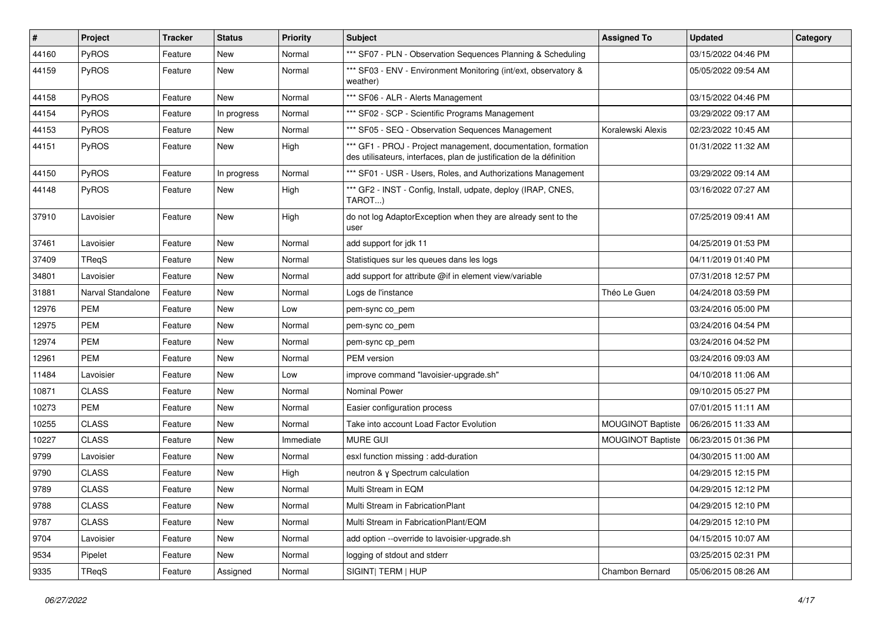| $\sharp$ | Project           | <b>Tracker</b> | <b>Status</b> | <b>Priority</b> | Subject                                                                                                                               | <b>Assigned To</b> | <b>Updated</b>      | Category |
|----------|-------------------|----------------|---------------|-----------------|---------------------------------------------------------------------------------------------------------------------------------------|--------------------|---------------------|----------|
| 44160    | PyROS             | Feature        | New           | Normal          | *** SF07 - PLN - Observation Sequences Planning & Scheduling                                                                          |                    | 03/15/2022 04:46 PM |          |
| 44159    | PyROS             | Feature        | New           | Normal          | *** SF03 - ENV - Environment Monitoring (int/ext, observatory &<br>weather)                                                           |                    | 05/05/2022 09:54 AM |          |
| 44158    | PyROS             | Feature        | <b>New</b>    | Normal          | *** SF06 - ALR - Alerts Management                                                                                                    |                    | 03/15/2022 04:46 PM |          |
| 44154    | PyROS             | Feature        | In progress   | Normal          | *** SF02 - SCP - Scientific Programs Management                                                                                       |                    | 03/29/2022 09:17 AM |          |
| 44153    | PyROS             | Feature        | New           | Normal          | *** SF05 - SEQ - Observation Sequences Management                                                                                     | Koralewski Alexis  | 02/23/2022 10:45 AM |          |
| 44151    | PyROS             | Feature        | New           | High            | *** GF1 - PROJ - Project management, documentation, formation<br>des utilisateurs, interfaces, plan de justification de la définition |                    | 01/31/2022 11:32 AM |          |
| 44150    | PyROS             | Feature        | In progress   | Normal          | *** SF01 - USR - Users, Roles, and Authorizations Management                                                                          |                    | 03/29/2022 09:14 AM |          |
| 44148    | PyROS             | Feature        | New           | High            | *** GF2 - INST - Config, Install, udpate, deploy (IRAP, CNES,<br>TAROT)                                                               |                    | 03/16/2022 07:27 AM |          |
| 37910    | Lavoisier         | Feature        | New           | High            | do not log AdaptorException when they are already sent to the<br>user                                                                 |                    | 07/25/2019 09:41 AM |          |
| 37461    | Lavoisier         | Feature        | New           | Normal          | add support for jdk 11                                                                                                                |                    | 04/25/2019 01:53 PM |          |
| 37409    | TReqS             | Feature        | New           | Normal          | Statistiques sur les queues dans les logs                                                                                             |                    | 04/11/2019 01:40 PM |          |
| 34801    | Lavoisier         | Feature        | New           | Normal          | add support for attribute @if in element view/variable                                                                                |                    | 07/31/2018 12:57 PM |          |
| 31881    | Narval Standalone | Feature        | New           | Normal          | Logs de l'instance                                                                                                                    | Théo Le Guen       | 04/24/2018 03:59 PM |          |
| 12976    | <b>PEM</b>        | Feature        | New           | Low             | pem-sync co_pem                                                                                                                       |                    | 03/24/2016 05:00 PM |          |
| 12975    | <b>PEM</b>        | Feature        | New           | Normal          | pem-sync co_pem                                                                                                                       |                    | 03/24/2016 04:54 PM |          |
| 12974    | <b>PEM</b>        | Feature        | New           | Normal          | pem-sync cp_pem                                                                                                                       |                    | 03/24/2016 04:52 PM |          |
| 12961    | <b>PEM</b>        | Feature        | New           | Normal          | PEM version                                                                                                                           |                    | 03/24/2016 09:03 AM |          |
| 11484    | Lavoisier         | Feature        | New           | Low             | improve command "lavoisier-upgrade.sh"                                                                                                |                    | 04/10/2018 11:06 AM |          |
| 10871    | <b>CLASS</b>      | Feature        | <b>New</b>    | Normal          | <b>Nominal Power</b>                                                                                                                  |                    | 09/10/2015 05:27 PM |          |
| 10273    | <b>PEM</b>        | Feature        | New           | Normal          | Easier configuration process                                                                                                          |                    | 07/01/2015 11:11 AM |          |
| 10255    | <b>CLASS</b>      | Feature        | New           | Normal          | Take into account Load Factor Evolution                                                                                               | MOUGINOT Baptiste  | 06/26/2015 11:33 AM |          |
| 10227    | <b>CLASS</b>      | Feature        | <b>New</b>    | Immediate       | <b>MURE GUI</b>                                                                                                                       | MOUGINOT Baptiste  | 06/23/2015 01:36 PM |          |
| 9799     | Lavoisier         | Feature        | New           | Normal          | esxl function missing : add-duration                                                                                                  |                    | 04/30/2015 11:00 AM |          |
| 9790     | <b>CLASS</b>      | Feature        | New           | High            | neutron & y Spectrum calculation                                                                                                      |                    | 04/29/2015 12:15 PM |          |
| 9789     | CLASS             | Feature        | New           | Normal          | Multi Stream in EQM                                                                                                                   |                    | 04/29/2015 12:12 PM |          |
| 9788     | <b>CLASS</b>      | Feature        | New           | Normal          | Multi Stream in FabricationPlant                                                                                                      |                    | 04/29/2015 12:10 PM |          |
| 9787     | <b>CLASS</b>      | Feature        | New           | Normal          | Multi Stream in FabricationPlant/EQM                                                                                                  |                    | 04/29/2015 12:10 PM |          |
| 9704     | Lavoisier         | Feature        | New           | Normal          | add option --override to lavoisier-upgrade.sh                                                                                         |                    | 04/15/2015 10:07 AM |          |
| 9534     | Pipelet           | Feature        | New           | Normal          | logging of stdout and stderr                                                                                                          |                    | 03/25/2015 02:31 PM |          |
| 9335     | TReqS             | Feature        | Assigned      | Normal          | SIGINT  TERM   HUP                                                                                                                    | Chambon Bernard    | 05/06/2015 08:26 AM |          |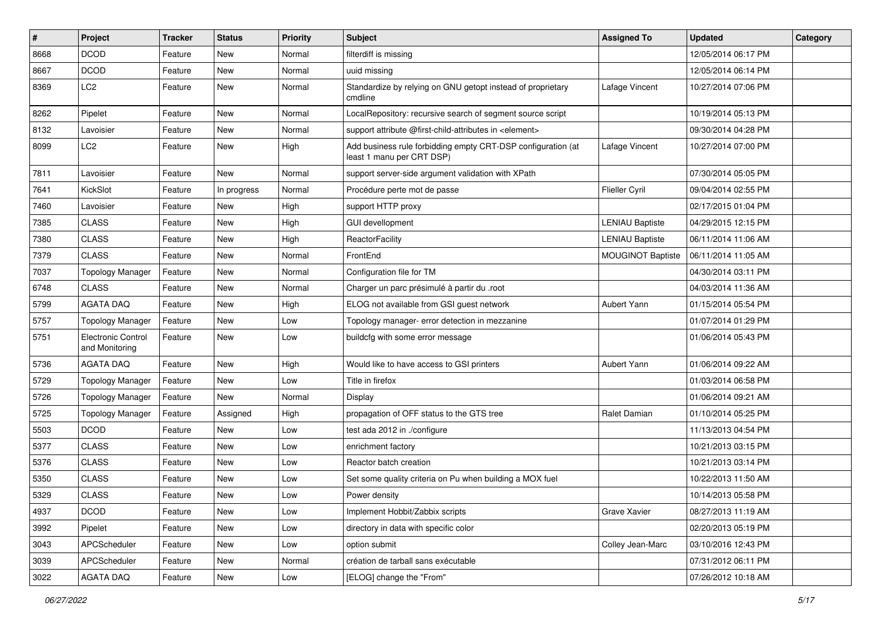| #    | Project                              | <b>Tracker</b> | <b>Status</b> | <b>Priority</b> | Subject                                                                                   | <b>Assigned To</b>       | <b>Updated</b>      | Category |
|------|--------------------------------------|----------------|---------------|-----------------|-------------------------------------------------------------------------------------------|--------------------------|---------------------|----------|
| 8668 | <b>DCOD</b>                          | Feature        | New           | Normal          | filterdiff is missing                                                                     |                          | 12/05/2014 06:17 PM |          |
| 8667 | <b>DCOD</b>                          | Feature        | <b>New</b>    | Normal          | uuid missing                                                                              |                          | 12/05/2014 06:14 PM |          |
| 8369 | LC <sub>2</sub>                      | Feature        | New           | Normal          | Standardize by relying on GNU getopt instead of proprietary<br>cmdline                    | Lafage Vincent           | 10/27/2014 07:06 PM |          |
| 8262 | Pipelet                              | Feature        | <b>New</b>    | Normal          | LocalRepository: recursive search of segment source script                                |                          | 10/19/2014 05:13 PM |          |
| 8132 | Lavoisier                            | Feature        | New           | Normal          | support attribute @first-child-attributes in <element></element>                          |                          | 09/30/2014 04:28 PM |          |
| 8099 | LC <sub>2</sub>                      | Feature        | New           | High            | Add business rule forbidding empty CRT-DSP configuration (at<br>least 1 manu per CRT DSP) | Lafage Vincent           | 10/27/2014 07:00 PM |          |
| 7811 | Lavoisier                            | Feature        | <b>New</b>    | Normal          | support server-side argument validation with XPath                                        |                          | 07/30/2014 05:05 PM |          |
| 7641 | KickSlot                             | Feature        | In progress   | Normal          | Procédure perte mot de passe                                                              | <b>Flieller Cyril</b>    | 09/04/2014 02:55 PM |          |
| 7460 | Lavoisier                            | Feature        | <b>New</b>    | High            | support HTTP proxy                                                                        |                          | 02/17/2015 01:04 PM |          |
| 7385 | <b>CLASS</b>                         | Feature        | New           | High            | <b>GUI devellopment</b>                                                                   | <b>LENIAU Baptiste</b>   | 04/29/2015 12:15 PM |          |
| 7380 | <b>CLASS</b>                         | Feature        | New           | High            | ReactorFacility                                                                           | <b>LENIAU Baptiste</b>   | 06/11/2014 11:06 AM |          |
| 7379 | <b>CLASS</b>                         | Feature        | <b>New</b>    | Normal          | FrontEnd                                                                                  | <b>MOUGINOT Baptiste</b> | 06/11/2014 11:05 AM |          |
| 7037 | <b>Topology Manager</b>              | Feature        | New           | Normal          | Configuration file for TM                                                                 |                          | 04/30/2014 03:11 PM |          |
| 6748 | <b>CLASS</b>                         | Feature        | New           | Normal          | Charger un parc présimulé à partir du .root                                               |                          | 04/03/2014 11:36 AM |          |
| 5799 | <b>AGATA DAQ</b>                     | Feature        | New           | High            | ELOG not available from GSI guest network                                                 | Aubert Yann              | 01/15/2014 05:54 PM |          |
| 5757 | <b>Topology Manager</b>              | Feature        | <b>New</b>    | Low             | Topology manager- error detection in mezzanine                                            |                          | 01/07/2014 01:29 PM |          |
| 5751 | Electronic Control<br>and Monitoring | Feature        | New           | Low             | buildcfg with some error message                                                          |                          | 01/06/2014 05:43 PM |          |
| 5736 | <b>AGATA DAQ</b>                     | Feature        | New           | High            | Would like to have access to GSI printers                                                 | Aubert Yann              | 01/06/2014 09:22 AM |          |
| 5729 | <b>Topology Manager</b>              | Feature        | New           | Low             | Title in firefox                                                                          |                          | 01/03/2014 06:58 PM |          |
| 5726 | <b>Topology Manager</b>              | Feature        | New           | Normal          | Display                                                                                   |                          | 01/06/2014 09:21 AM |          |
| 5725 | <b>Topology Manager</b>              | Feature        | Assigned      | High            | propagation of OFF status to the GTS tree                                                 | Ralet Damian             | 01/10/2014 05:25 PM |          |
| 5503 | <b>DCOD</b>                          | Feature        | New           | Low             | test ada 2012 in ./configure                                                              |                          | 11/13/2013 04:54 PM |          |
| 5377 | <b>CLASS</b>                         | Feature        | New           | Low             | enrichment factory                                                                        |                          | 10/21/2013 03:15 PM |          |
| 5376 | <b>CLASS</b>                         | Feature        | New           | Low             | Reactor batch creation                                                                    |                          | 10/21/2013 03:14 PM |          |
| 5350 | <b>CLASS</b>                         | Feature        | <b>New</b>    | Low             | Set some quality criteria on Pu when building a MOX fuel                                  |                          | 10/22/2013 11:50 AM |          |
| 5329 | <b>CLASS</b>                         | Feature        | New           | Low             | Power density                                                                             |                          | 10/14/2013 05:58 PM |          |
| 4937 | <b>DCOD</b>                          | Feature        | New           | Low             | Implement Hobbit/Zabbix scripts                                                           | Grave Xavier             | 08/27/2013 11:19 AM |          |
| 3992 | Pipelet                              | Feature        | New           | Low             | directory in data with specific color                                                     |                          | 02/20/2013 05:19 PM |          |
| 3043 | <b>APCScheduler</b>                  | Feature        | New           | Low             | option submit                                                                             | Colley Jean-Marc         | 03/10/2016 12:43 PM |          |
| 3039 | APCScheduler                         | Feature        | New           | Normal          | création de tarball sans exécutable                                                       |                          | 07/31/2012 06:11 PM |          |
| 3022 | AGATA DAQ                            | Feature        | New           | Low             | [ELOG] change the "From"                                                                  |                          | 07/26/2012 10:18 AM |          |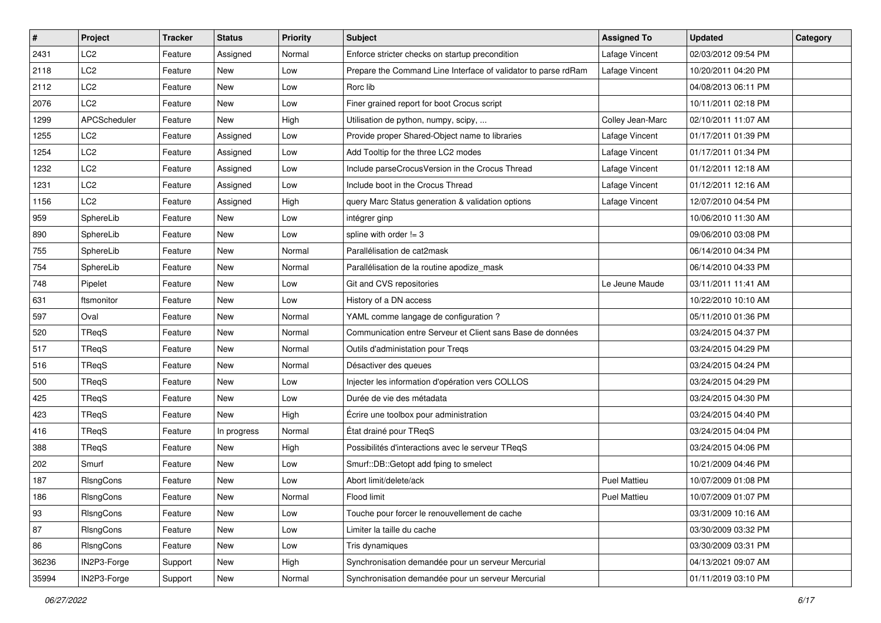| $\vert$ # | Project         | <b>Tracker</b> | <b>Status</b> | <b>Priority</b> | <b>Subject</b>                                                 | <b>Assigned To</b>  | <b>Updated</b>      | Category |
|-----------|-----------------|----------------|---------------|-----------------|----------------------------------------------------------------|---------------------|---------------------|----------|
| 2431      | LC <sub>2</sub> | Feature        | Assigned      | Normal          | Enforce stricter checks on startup precondition                | Lafage Vincent      | 02/03/2012 09:54 PM |          |
| 2118      | LC <sub>2</sub> | Feature        | New           | Low             | Prepare the Command Line Interface of validator to parse rdRam | Lafage Vincent      | 10/20/2011 04:20 PM |          |
| 2112      | LC2             | Feature        | New           | Low             | Rorc lib                                                       |                     | 04/08/2013 06:11 PM |          |
| 2076      | LC <sub>2</sub> | Feature        | New           | Low             | Finer grained report for boot Crocus script                    |                     | 10/11/2011 02:18 PM |          |
| 1299      | APCScheduler    | Feature        | <b>New</b>    | High            | Utilisation de python, numpy, scipy,                           | Colley Jean-Marc    | 02/10/2011 11:07 AM |          |
| 1255      | LC2             | Feature        | Assigned      | Low             | Provide proper Shared-Object name to libraries                 | Lafage Vincent      | 01/17/2011 01:39 PM |          |
| 1254      | LC <sub>2</sub> | Feature        | Assigned      | Low             | Add Tooltip for the three LC2 modes                            | Lafage Vincent      | 01/17/2011 01:34 PM |          |
| 1232      | LC2             | Feature        | Assigned      | Low             | Include parseCrocusVersion in the Crocus Thread                | Lafage Vincent      | 01/12/2011 12:18 AM |          |
| 1231      | LC <sub>2</sub> | Feature        | Assigned      | Low             | Include boot in the Crocus Thread                              | Lafage Vincent      | 01/12/2011 12:16 AM |          |
| 1156      | LC <sub>2</sub> | Feature        | Assigned      | High            | query Marc Status generation & validation options              | Lafage Vincent      | 12/07/2010 04:54 PM |          |
| 959       | SphereLib       | Feature        | New           | Low             | intégrer ginp                                                  |                     | 10/06/2010 11:30 AM |          |
| 890       | SphereLib       | Feature        | New           | Low             | spline with order $!= 3$                                       |                     | 09/06/2010 03:08 PM |          |
| 755       | SphereLib       | Feature        | New           | Normal          | Parallélisation de cat2mask                                    |                     | 06/14/2010 04:34 PM |          |
| 754       | SphereLib       | Feature        | New           | Normal          | Parallélisation de la routine apodize_mask                     |                     | 06/14/2010 04:33 PM |          |
| 748       | Pipelet         | Feature        | New           | Low             | Git and CVS repositories                                       | Le Jeune Maude      | 03/11/2011 11:41 AM |          |
| 631       | ftsmonitor      | Feature        | New           | Low             | History of a DN access                                         |                     | 10/22/2010 10:10 AM |          |
| 597       | Oval            | Feature        | New           | Normal          | YAML comme langage de configuration ?                          |                     | 05/11/2010 01:36 PM |          |
| 520       | TReqS           | Feature        | <b>New</b>    | Normal          | Communication entre Serveur et Client sans Base de données     |                     | 03/24/2015 04:37 PM |          |
| 517       | TReqS           | Feature        | New           | Normal          | Outils d'administation pour Treqs                              |                     | 03/24/2015 04:29 PM |          |
| 516       | TReqS           | Feature        | New           | Normal          | Désactiver des queues                                          |                     | 03/24/2015 04:24 PM |          |
| 500       | TReqS           | Feature        | New           | Low             | Injecter les information d'opération vers COLLOS               |                     | 03/24/2015 04:29 PM |          |
| 425       | TReqS           | Feature        | New           | Low             | Durée de vie des métadata                                      |                     | 03/24/2015 04:30 PM |          |
| 423       | TReqS           | Feature        | New           | High            | Écrire une toolbox pour administration                         |                     | 03/24/2015 04:40 PM |          |
| 416       | TRegS           | Feature        | In progress   | Normal          | État drainé pour TReqS                                         |                     | 03/24/2015 04:04 PM |          |
| 388       | TReqS           | Feature        | New           | High            | Possibilités d'interactions avec le serveur TReqS              |                     | 03/24/2015 04:06 PM |          |
| 202       | Smurf           | Feature        | New           | Low             | Smurf::DB::Getopt add fping to smelect                         |                     | 10/21/2009 04:46 PM |          |
| 187       | RIsngCons       | Feature        | New           | Low             | Abort limit/delete/ack                                         | <b>Puel Mattieu</b> | 10/07/2009 01:08 PM |          |
| 186       | RIsngCons       | Feature        | New           | Normal          | Flood limit                                                    | <b>Puel Mattieu</b> | 10/07/2009 01:07 PM |          |
| 93        | RIsngCons       | Feature        | New           | Low             | Touche pour forcer le renouvellement de cache                  |                     | 03/31/2009 10:16 AM |          |
| 87        | RIsngCons       | Feature        | New           | Low             | Limiter la taille du cache                                     |                     | 03/30/2009 03:32 PM |          |
| 86        | RIsngCons       | Feature        | New           | Low             | Tris dynamiques                                                |                     | 03/30/2009 03:31 PM |          |
| 36236     | IN2P3-Forge     | Support        | New           | High            | Synchronisation demandée pour un serveur Mercurial             |                     | 04/13/2021 09:07 AM |          |
| 35994     | IN2P3-Forge     | Support        | New           | Normal          | Synchronisation demandée pour un serveur Mercurial             |                     | 01/11/2019 03:10 PM |          |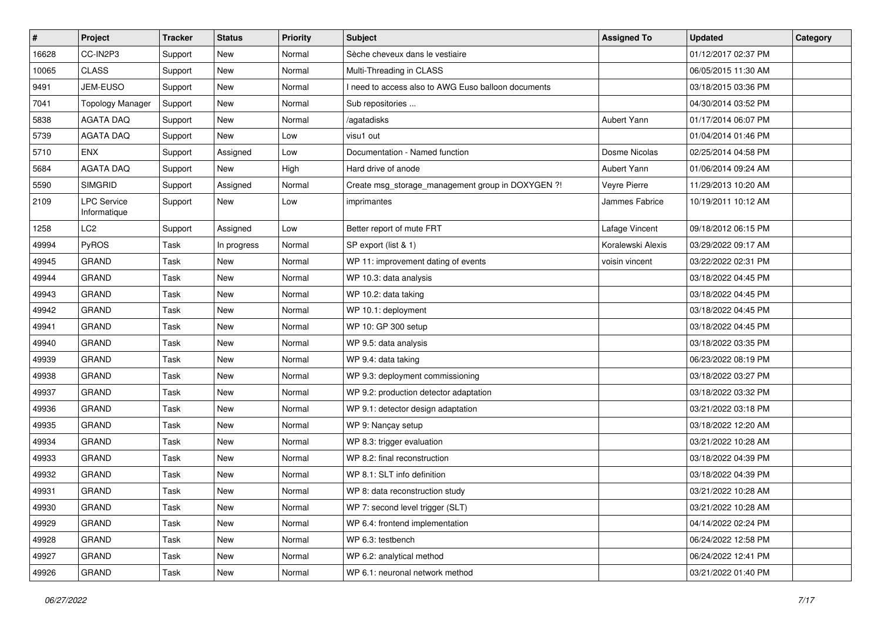| $\sharp$ | Project                            | <b>Tracker</b> | <b>Status</b> | <b>Priority</b> | <b>Subject</b>                                      | <b>Assigned To</b> | <b>Updated</b>      | Category |
|----------|------------------------------------|----------------|---------------|-----------------|-----------------------------------------------------|--------------------|---------------------|----------|
| 16628    | CC-IN2P3                           | Support        | New           | Normal          | Sèche cheveux dans le vestiaire                     |                    | 01/12/2017 02:37 PM |          |
| 10065    | <b>CLASS</b>                       | Support        | <b>New</b>    | Normal          | Multi-Threading in CLASS                            |                    | 06/05/2015 11:30 AM |          |
| 9491     | <b>JEM-EUSO</b>                    | Support        | New           | Normal          | I need to access also to AWG Euso balloon documents |                    | 03/18/2015 03:36 PM |          |
| 7041     | <b>Topology Manager</b>            | Support        | New           | Normal          | Sub repositories                                    |                    | 04/30/2014 03:52 PM |          |
| 5838     | <b>AGATA DAQ</b>                   | Support        | New           | Normal          | /agatadisks                                         | Aubert Yann        | 01/17/2014 06:07 PM |          |
| 5739     | <b>AGATA DAQ</b>                   | Support        | New           | Low             | visu1 out                                           |                    | 01/04/2014 01:46 PM |          |
| 5710     | <b>ENX</b>                         | Support        | Assigned      | Low             | Documentation - Named function                      | Dosme Nicolas      | 02/25/2014 04:58 PM |          |
| 5684     | <b>AGATA DAQ</b>                   | Support        | New           | High            | Hard drive of anode                                 | Aubert Yann        | 01/06/2014 09:24 AM |          |
| 5590     | <b>SIMGRID</b>                     | Support        | Assigned      | Normal          | Create msg_storage_management group in DOXYGEN ?!   | Veyre Pierre       | 11/29/2013 10:20 AM |          |
| 2109     | <b>LPC Service</b><br>Informatique | Support        | New           | Low             | imprimantes                                         | Jammes Fabrice     | 10/19/2011 10:12 AM |          |
| 1258     | LC <sub>2</sub>                    | Support        | Assigned      | Low             | Better report of mute FRT                           | Lafage Vincent     | 09/18/2012 06:15 PM |          |
| 49994    | PyROS                              | Task           | In progress   | Normal          | SP export (list & 1)                                | Koralewski Alexis  | 03/29/2022 09:17 AM |          |
| 49945    | <b>GRAND</b>                       | Task           | New           | Normal          | WP 11: improvement dating of events                 | voisin vincent     | 03/22/2022 02:31 PM |          |
| 49944    | <b>GRAND</b>                       | Task           | New           | Normal          | WP 10.3: data analysis                              |                    | 03/18/2022 04:45 PM |          |
| 49943    | <b>GRAND</b>                       | Task           | <b>New</b>    | Normal          | WP 10.2: data taking                                |                    | 03/18/2022 04:45 PM |          |
| 49942    | <b>GRAND</b>                       | Task           | New           | Normal          | WP 10.1: deployment                                 |                    | 03/18/2022 04:45 PM |          |
| 49941    | <b>GRAND</b>                       | Task           | New           | Normal          | WP 10: GP 300 setup                                 |                    | 03/18/2022 04:45 PM |          |
| 49940    | <b>GRAND</b>                       | Task           | <b>New</b>    | Normal          | WP 9.5: data analysis                               |                    | 03/18/2022 03:35 PM |          |
| 49939    | <b>GRAND</b>                       | Task           | New           | Normal          | WP 9.4: data taking                                 |                    | 06/23/2022 08:19 PM |          |
| 49938    | <b>GRAND</b>                       | Task           | New           | Normal          | WP 9.3: deployment commissioning                    |                    | 03/18/2022 03:27 PM |          |
| 49937    | <b>GRAND</b>                       | Task           | New           | Normal          | WP 9.2: production detector adaptation              |                    | 03/18/2022 03:32 PM |          |
| 49936    | <b>GRAND</b>                       | Task           | New           | Normal          | WP 9.1: detector design adaptation                  |                    | 03/21/2022 03:18 PM |          |
| 49935    | <b>GRAND</b>                       | Task           | <b>New</b>    | Normal          | WP 9: Nançay setup                                  |                    | 03/18/2022 12:20 AM |          |
| 49934    | <b>GRAND</b>                       | Task           | New           | Normal          | WP 8.3: trigger evaluation                          |                    | 03/21/2022 10:28 AM |          |
| 49933    | <b>GRAND</b>                       | Task           | New           | Normal          | WP 8.2: final reconstruction                        |                    | 03/18/2022 04:39 PM |          |
| 49932    | <b>GRAND</b>                       | Task           | New           | Normal          | WP 8.1: SLT info definition                         |                    | 03/18/2022 04:39 PM |          |
| 49931    | <b>GRAND</b>                       | Task           | New           | Normal          | WP 8: data reconstruction study                     |                    | 03/21/2022 10:28 AM |          |
| 49930    | <b>GRAND</b>                       | Task           | New           | Normal          | WP 7: second level trigger (SLT)                    |                    | 03/21/2022 10:28 AM |          |
| 49929    | GRAND                              | Task           | New           | Normal          | WP 6.4: frontend implementation                     |                    | 04/14/2022 02:24 PM |          |
| 49928    | <b>GRAND</b>                       | Task           | New           | Normal          | WP 6.3: testbench                                   |                    | 06/24/2022 12:58 PM |          |
| 49927    | GRAND                              | Task           | New           | Normal          | WP 6.2: analytical method                           |                    | 06/24/2022 12:41 PM |          |
| 49926    | GRAND                              | Task           | New           | Normal          | WP 6.1: neuronal network method                     |                    | 03/21/2022 01:40 PM |          |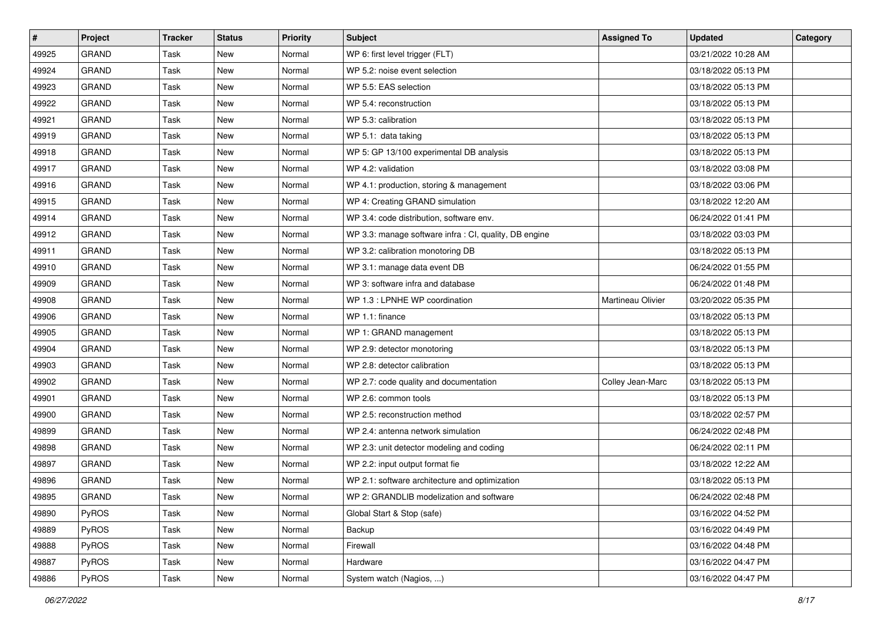| #     | Project      | <b>Tracker</b> | <b>Status</b> | <b>Priority</b> | <b>Subject</b>                                         | <b>Assigned To</b> | <b>Updated</b>      | Category |
|-------|--------------|----------------|---------------|-----------------|--------------------------------------------------------|--------------------|---------------------|----------|
| 49925 | <b>GRAND</b> | Task           | New           | Normal          | WP 6: first level trigger (FLT)                        |                    | 03/21/2022 10:28 AM |          |
| 49924 | GRAND        | Task           | New           | Normal          | WP 5.2: noise event selection                          |                    | 03/18/2022 05:13 PM |          |
| 49923 | <b>GRAND</b> | Task           | New           | Normal          | WP 5.5: EAS selection                                  |                    | 03/18/2022 05:13 PM |          |
| 49922 | <b>GRAND</b> | Task           | New           | Normal          | WP 5.4: reconstruction                                 |                    | 03/18/2022 05:13 PM |          |
| 49921 | <b>GRAND</b> | Task           | New           | Normal          | WP 5.3: calibration                                    |                    | 03/18/2022 05:13 PM |          |
| 49919 | <b>GRAND</b> | Task           | New           | Normal          | WP 5.1: data taking                                    |                    | 03/18/2022 05:13 PM |          |
| 49918 | GRAND        | Task           | <b>New</b>    | Normal          | WP 5: GP 13/100 experimental DB analysis               |                    | 03/18/2022 05:13 PM |          |
| 49917 | <b>GRAND</b> | Task           | New           | Normal          | WP 4.2: validation                                     |                    | 03/18/2022 03:08 PM |          |
| 49916 | <b>GRAND</b> | Task           | New           | Normal          | WP 4.1: production, storing & management               |                    | 03/18/2022 03:06 PM |          |
| 49915 | <b>GRAND</b> | Task           | New           | Normal          | WP 4: Creating GRAND simulation                        |                    | 03/18/2022 12:20 AM |          |
| 49914 | <b>GRAND</b> | Task           | New           | Normal          | WP 3.4: code distribution, software env.               |                    | 06/24/2022 01:41 PM |          |
| 49912 | <b>GRAND</b> | Task           | New           | Normal          | WP 3.3: manage software infra : CI, quality, DB engine |                    | 03/18/2022 03:03 PM |          |
| 49911 | <b>GRAND</b> | Task           | New           | Normal          | WP 3.2: calibration monotoring DB                      |                    | 03/18/2022 05:13 PM |          |
| 49910 | <b>GRAND</b> | Task           | New           | Normal          | WP 3.1: manage data event DB                           |                    | 06/24/2022 01:55 PM |          |
| 49909 | <b>GRAND</b> | Task           | New           | Normal          | WP 3: software infra and database                      |                    | 06/24/2022 01:48 PM |          |
| 49908 | GRAND        | Task           | New           | Normal          | WP 1.3 : LPNHE WP coordination                         | Martineau Olivier  | 03/20/2022 05:35 PM |          |
| 49906 | <b>GRAND</b> | Task           | New           | Normal          | WP 1.1: finance                                        |                    | 03/18/2022 05:13 PM |          |
| 49905 | <b>GRAND</b> | Task           | New           | Normal          | WP 1: GRAND management                                 |                    | 03/18/2022 05:13 PM |          |
| 49904 | <b>GRAND</b> | Task           | New           | Normal          | WP 2.9: detector monotoring                            |                    | 03/18/2022 05:13 PM |          |
| 49903 | <b>GRAND</b> | Task           | New           | Normal          | WP 2.8: detector calibration                           |                    | 03/18/2022 05:13 PM |          |
| 49902 | <b>GRAND</b> | Task           | New           | Normal          | WP 2.7: code quality and documentation                 | Colley Jean-Marc   | 03/18/2022 05:13 PM |          |
| 49901 | <b>GRAND</b> | Task           | New           | Normal          | WP 2.6: common tools                                   |                    | 03/18/2022 05:13 PM |          |
| 49900 | <b>GRAND</b> | Task           | New           | Normal          | WP 2.5: reconstruction method                          |                    | 03/18/2022 02:57 PM |          |
| 49899 | <b>GRAND</b> | Task           | New           | Normal          | WP 2.4: antenna network simulation                     |                    | 06/24/2022 02:48 PM |          |
| 49898 | <b>GRAND</b> | Task           | New           | Normal          | WP 2.3: unit detector modeling and coding              |                    | 06/24/2022 02:11 PM |          |
| 49897 | <b>GRAND</b> | Task           | New           | Normal          | WP 2.2: input output format fie                        |                    | 03/18/2022 12:22 AM |          |
| 49896 | <b>GRAND</b> | Task           | <b>New</b>    | Normal          | WP 2.1: software architecture and optimization         |                    | 03/18/2022 05:13 PM |          |
| 49895 | GRAND        | Task           | New           | Normal          | WP 2: GRANDLIB modelization and software               |                    | 06/24/2022 02:48 PM |          |
| 49890 | PyROS        | Task           | New           | Normal          | Global Start & Stop (safe)                             |                    | 03/16/2022 04:52 PM |          |
| 49889 | PyROS        | Task           | New           | Normal          | Backup                                                 |                    | 03/16/2022 04:49 PM |          |
| 49888 | PyROS        | Task           | New           | Normal          | Firewall                                               |                    | 03/16/2022 04:48 PM |          |
| 49887 | PyROS        | Task           | New           | Normal          | Hardware                                               |                    | 03/16/2022 04:47 PM |          |
| 49886 | PyROS        | Task           | New           | Normal          | System watch (Nagios, )                                |                    | 03/16/2022 04:47 PM |          |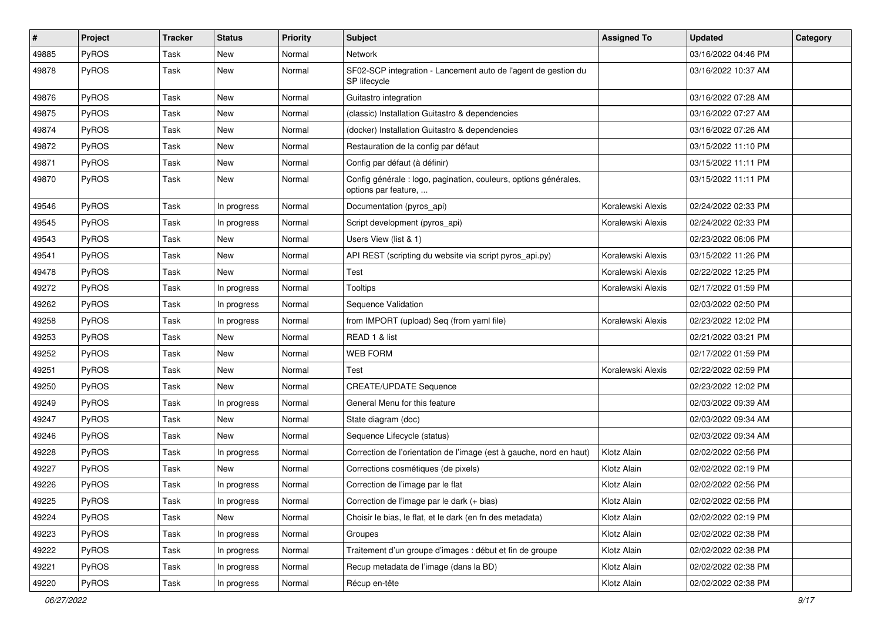| $\pmb{\#}$ | Project | <b>Tracker</b> | <b>Status</b> | <b>Priority</b> | <b>Subject</b>                                                                           | <b>Assigned To</b> | <b>Updated</b>      | Category |
|------------|---------|----------------|---------------|-----------------|------------------------------------------------------------------------------------------|--------------------|---------------------|----------|
| 49885      | PyROS   | Task           | New           | Normal          | Network                                                                                  |                    | 03/16/2022 04:46 PM |          |
| 49878      | PyROS   | Task           | New           | Normal          | SF02-SCP integration - Lancement auto de l'agent de gestion du<br>SP lifecycle           |                    | 03/16/2022 10:37 AM |          |
| 49876      | PyROS   | Task           | <b>New</b>    | Normal          | Guitastro integration                                                                    |                    | 03/16/2022 07:28 AM |          |
| 49875      | PyROS   | Task           | <b>New</b>    | Normal          | (classic) Installation Guitastro & dependencies                                          |                    | 03/16/2022 07:27 AM |          |
| 49874      | PyROS   | Task           | <b>New</b>    | Normal          | (docker) Installation Guitastro & dependencies                                           |                    | 03/16/2022 07:26 AM |          |
| 49872      | PyROS   | Task           | New           | Normal          | Restauration de la config par défaut                                                     |                    | 03/15/2022 11:10 PM |          |
| 49871      | PyROS   | Task           | New           | Normal          | Config par défaut (à définir)                                                            |                    | 03/15/2022 11:11 PM |          |
| 49870      | PyROS   | Task           | New           | Normal          | Config générale : logo, pagination, couleurs, options générales,<br>options par feature, |                    | 03/15/2022 11:11 PM |          |
| 49546      | PyROS   | Task           | In progress   | Normal          | Documentation (pyros_api)                                                                | Koralewski Alexis  | 02/24/2022 02:33 PM |          |
| 49545      | PyROS   | Task           | In progress   | Normal          | Script development (pyros_api)                                                           | Koralewski Alexis  | 02/24/2022 02:33 PM |          |
| 49543      | PyROS   | Task           | <b>New</b>    | Normal          | Users View (list & 1)                                                                    |                    | 02/23/2022 06:06 PM |          |
| 49541      | PyROS   | Task           | <b>New</b>    | Normal          | API REST (scripting du website via script pyros_api.py)                                  | Koralewski Alexis  | 03/15/2022 11:26 PM |          |
| 49478      | PyROS   | Task           | New           | Normal          | <b>Test</b>                                                                              | Koralewski Alexis  | 02/22/2022 12:25 PM |          |
| 49272      | PyROS   | Task           | In progress   | Normal          | <b>Tooltips</b>                                                                          | Koralewski Alexis  | 02/17/2022 01:59 PM |          |
| 49262      | PyROS   | Task           | In progress   | Normal          | Sequence Validation                                                                      |                    | 02/03/2022 02:50 PM |          |
| 49258      | PyROS   | Task           | In progress   | Normal          | from IMPORT (upload) Seq (from yaml file)                                                | Koralewski Alexis  | 02/23/2022 12:02 PM |          |
| 49253      | PyROS   | Task           | New           | Normal          | READ 1 & list                                                                            |                    | 02/21/2022 03:21 PM |          |
| 49252      | PyROS   | Task           | New           | Normal          | <b>WEB FORM</b>                                                                          |                    | 02/17/2022 01:59 PM |          |
| 49251      | PyROS   | Task           | New           | Normal          | Test                                                                                     | Koralewski Alexis  | 02/22/2022 02:59 PM |          |
| 49250      | PyROS   | Task           | <b>New</b>    | Normal          | <b>CREATE/UPDATE Sequence</b>                                                            |                    | 02/23/2022 12:02 PM |          |
| 49249      | PyROS   | Task           | In progress   | Normal          | General Menu for this feature                                                            |                    | 02/03/2022 09:39 AM |          |
| 49247      | PyROS   | Task           | New           | Normal          | State diagram (doc)                                                                      |                    | 02/03/2022 09:34 AM |          |
| 49246      | PyROS   | Task           | New           | Normal          | Sequence Lifecycle (status)                                                              |                    | 02/03/2022 09:34 AM |          |
| 49228      | PyROS   | Task           | In progress   | Normal          | Correction de l'orientation de l'image (est à gauche, nord en haut)                      | Klotz Alain        | 02/02/2022 02:56 PM |          |
| 49227      | PyROS   | Task           | <b>New</b>    | Normal          | Corrections cosmétiques (de pixels)                                                      | Klotz Alain        | 02/02/2022 02:19 PM |          |
| 49226      | PyROS   | Task           | In progress   | Normal          | Correction de l'image par le flat                                                        | Klotz Alain        | 02/02/2022 02:56 PM |          |
| 49225      | PyROS   | Task           | In progress   | Normal          | Correction de l'image par le dark (+ bias)                                               | Klotz Alain        | 02/02/2022 02:56 PM |          |
| 49224      | PyROS   | Task           | New           | Normal          | Choisir le bias, le flat, et le dark (en fn des metadata)                                | Klotz Alain        | 02/02/2022 02:19 PM |          |
| 49223      | PyROS   | Task           | In progress   | Normal          | Groupes                                                                                  | Klotz Alain        | 02/02/2022 02:38 PM |          |
| 49222      | PyROS   | Task           | In progress   | Normal          | Traitement d'un groupe d'images : début et fin de groupe                                 | Klotz Alain        | 02/02/2022 02:38 PM |          |
| 49221      | PyROS   | Task           | In progress   | Normal          | Recup metadata de l'image (dans la BD)                                                   | Klotz Alain        | 02/02/2022 02:38 PM |          |
| 49220      | PyROS   | Task           | In progress   | Normal          | Récup en-tête                                                                            | Klotz Alain        | 02/02/2022 02:38 PM |          |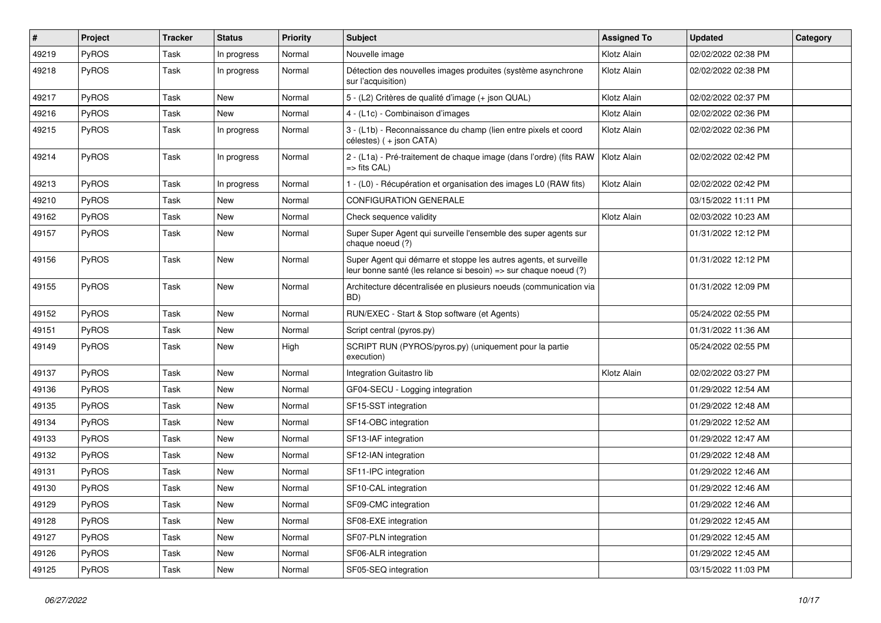| $\sharp$ | Project      | <b>Tracker</b> | <b>Status</b> | <b>Priority</b> | Subject                                                                                                                               | <b>Assigned To</b> | <b>Updated</b>      | Category |
|----------|--------------|----------------|---------------|-----------------|---------------------------------------------------------------------------------------------------------------------------------------|--------------------|---------------------|----------|
| 49219    | PyROS        | Task           | In progress   | Normal          | Nouvelle image                                                                                                                        | Klotz Alain        | 02/02/2022 02:38 PM |          |
| 49218    | PyROS        | Task           | In progress   | Normal          | Détection des nouvelles images produites (système asynchrone<br>sur l'acquisition)                                                    | Klotz Alain        | 02/02/2022 02:38 PM |          |
| 49217    | PyROS        | Task           | <b>New</b>    | Normal          | 5 - (L2) Critères de qualité d'image (+ json QUAL)                                                                                    | Klotz Alain        | 02/02/2022 02:37 PM |          |
| 49216    | PyROS        | Task           | <b>New</b>    | Normal          | 4 - (L1c) - Combinaison d'images                                                                                                      | Klotz Alain        | 02/02/2022 02:36 PM |          |
| 49215    | <b>PyROS</b> | Task           | In progress   | Normal          | 3 - (L1b) - Reconnaissance du champ (lien entre pixels et coord<br>célestes) (+ json CATA)                                            | Klotz Alain        | 02/02/2022 02:36 PM |          |
| 49214    | PyROS        | Task           | In progress   | Normal          | 2 - (L1a) - Pré-traitement de chaque image (dans l'ordre) (fits RAW   Klotz Alain<br>$\Rightarrow$ fits CAL)                          |                    | 02/02/2022 02:42 PM |          |
| 49213    | PyROS        | Task           | In progress   | Normal          | 1 - (L0) - Récupération et organisation des images L0 (RAW fits)                                                                      | Klotz Alain        | 02/02/2022 02:42 PM |          |
| 49210    | <b>PyROS</b> | Task           | <b>New</b>    | Normal          | <b>CONFIGURATION GENERALE</b>                                                                                                         |                    | 03/15/2022 11:11 PM |          |
| 49162    | PyROS        | Task           | <b>New</b>    | Normal          | Check sequence validity                                                                                                               | Klotz Alain        | 02/03/2022 10:23 AM |          |
| 49157    | PyROS        | Task           | New           | Normal          | Super Super Agent qui surveille l'ensemble des super agents sur<br>chaque noeud (?)                                                   |                    | 01/31/2022 12:12 PM |          |
| 49156    | PyROS        | Task           | <b>New</b>    | Normal          | Super Agent qui démarre et stoppe les autres agents, et surveille<br>leur bonne santé (les relance si besoin) => sur chaque noeud (?) |                    | 01/31/2022 12:12 PM |          |
| 49155    | PyROS        | Task           | <b>New</b>    | Normal          | Architecture décentralisée en plusieurs noeuds (communication via<br>BD)                                                              |                    | 01/31/2022 12:09 PM |          |
| 49152    | PyROS        | Task           | New           | Normal          | RUN/EXEC - Start & Stop software (et Agents)                                                                                          |                    | 05/24/2022 02:55 PM |          |
| 49151    | PyROS        | Task           | <b>New</b>    | Normal          | Script central (pyros.py)                                                                                                             |                    | 01/31/2022 11:36 AM |          |
| 49149    | PyROS        | Task           | New           | High            | SCRIPT RUN (PYROS/pyros.py) (uniquement pour la partie<br>execution)                                                                  |                    | 05/24/2022 02:55 PM |          |
| 49137    | PyROS        | Task           | <b>New</b>    | Normal          | Integration Guitastro lib                                                                                                             | Klotz Alain        | 02/02/2022 03:27 PM |          |
| 49136    | PyROS        | Task           | <b>New</b>    | Normal          | GF04-SECU - Logging integration                                                                                                       |                    | 01/29/2022 12:54 AM |          |
| 49135    | PyROS        | Task           | <b>New</b>    | Normal          | SF15-SST integration                                                                                                                  |                    | 01/29/2022 12:48 AM |          |
| 49134    | PyROS        | Task           | New           | Normal          | SF14-OBC integration                                                                                                                  |                    | 01/29/2022 12:52 AM |          |
| 49133    | <b>PyROS</b> | Task           | New           | Normal          | SF13-IAF integration                                                                                                                  |                    | 01/29/2022 12:47 AM |          |
| 49132    | PyROS        | Task           | <b>New</b>    | Normal          | SF12-IAN integration                                                                                                                  |                    | 01/29/2022 12:48 AM |          |
| 49131    | PyROS        | Task           | New           | Normal          | SF11-IPC integration                                                                                                                  |                    | 01/29/2022 12:46 AM |          |
| 49130    | PyROS        | Task           | New           | Normal          | SF10-CAL integration                                                                                                                  |                    | 01/29/2022 12:46 AM |          |
| 49129    | PyROS        | Task           | New           | Normal          | SF09-CMC integration                                                                                                                  |                    | 01/29/2022 12:46 AM |          |
| 49128    | PyROS        | Task           | New           | Normal          | SF08-EXE integration                                                                                                                  |                    | 01/29/2022 12:45 AM |          |
| 49127    | PyROS        | Task           | New           | Normal          | SF07-PLN integration                                                                                                                  |                    | 01/29/2022 12:45 AM |          |
| 49126    | PyROS        | Task           | New           | Normal          | SF06-ALR integration                                                                                                                  |                    | 01/29/2022 12:45 AM |          |
| 49125    | PyROS        | Task           | New           | Normal          | SF05-SEQ integration                                                                                                                  |                    | 03/15/2022 11:03 PM |          |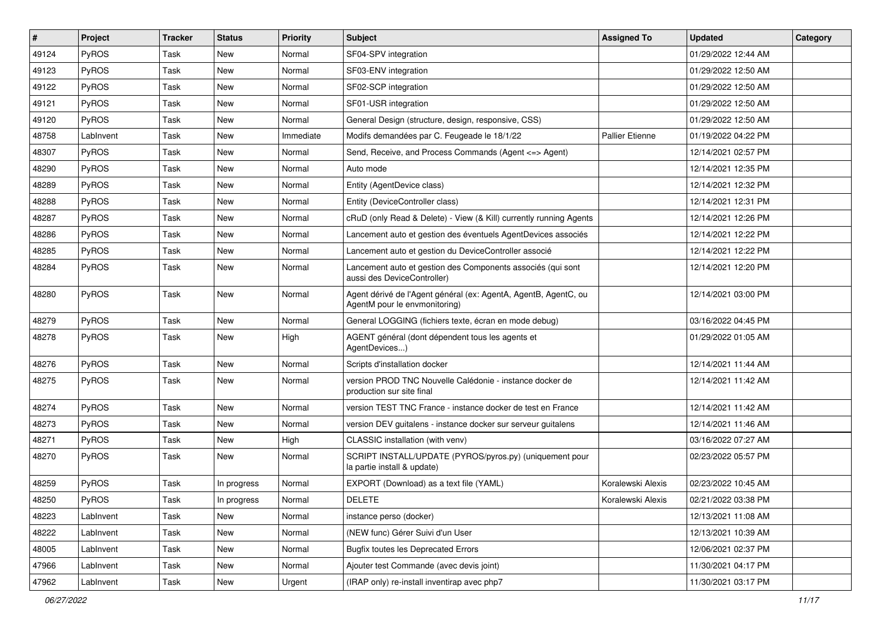| $\vert$ # | Project      | <b>Tracker</b> | <b>Status</b> | <b>Priority</b> | <b>Subject</b>                                                                                   | <b>Assigned To</b>     | <b>Updated</b>      | Category |
|-----------|--------------|----------------|---------------|-----------------|--------------------------------------------------------------------------------------------------|------------------------|---------------------|----------|
| 49124     | PyROS        | Task           | New           | Normal          | SF04-SPV integration                                                                             |                        | 01/29/2022 12:44 AM |          |
| 49123     | PyROS        | Task           | New           | Normal          | SF03-ENV integration                                                                             |                        | 01/29/2022 12:50 AM |          |
| 49122     | <b>PyROS</b> | Task           | New           | Normal          | SF02-SCP integration                                                                             |                        | 01/29/2022 12:50 AM |          |
| 49121     | PyROS        | Task           | New           | Normal          | SF01-USR integration                                                                             |                        | 01/29/2022 12:50 AM |          |
| 49120     | PyROS        | Task           | New           | Normal          | General Design (structure, design, responsive, CSS)                                              |                        | 01/29/2022 12:50 AM |          |
| 48758     | LabInvent    | Task           | New           | Immediate       | Modifs demandées par C. Feugeade le 18/1/22                                                      | <b>Pallier Etienne</b> | 01/19/2022 04:22 PM |          |
| 48307     | PyROS        | Task           | <b>New</b>    | Normal          | Send, Receive, and Process Commands (Agent <= > Agent)                                           |                        | 12/14/2021 02:57 PM |          |
| 48290     | <b>PyROS</b> | Task           | New           | Normal          | Auto mode                                                                                        |                        | 12/14/2021 12:35 PM |          |
| 48289     | PyROS        | Task           | New           | Normal          | Entity (AgentDevice class)                                                                       |                        | 12/14/2021 12:32 PM |          |
| 48288     | PyROS        | Task           | <b>New</b>    | Normal          | Entity (DeviceController class)                                                                  |                        | 12/14/2021 12:31 PM |          |
| 48287     | <b>PyROS</b> | Task           | New           | Normal          | cRuD (only Read & Delete) - View (& Kill) currently running Agents                               |                        | 12/14/2021 12:26 PM |          |
| 48286     | PyROS        | Task           | New           | Normal          | Lancement auto et gestion des éventuels AgentDevices associés                                    |                        | 12/14/2021 12:22 PM |          |
| 48285     | PyROS        | Task           | New           | Normal          | Lancement auto et gestion du DeviceController associé                                            |                        | 12/14/2021 12:22 PM |          |
| 48284     | PyROS        | Task           | New           | Normal          | Lancement auto et gestion des Components associés (qui sont<br>aussi des DeviceController)       |                        | 12/14/2021 12:20 PM |          |
| 48280     | PyROS        | Task           | New           | Normal          | Agent dérivé de l'Agent général (ex: AgentA, AgentB, AgentC, ou<br>AgentM pour le envmonitoring) |                        | 12/14/2021 03:00 PM |          |
| 48279     | PyROS        | Task           | New           | Normal          | General LOGGING (fichiers texte, écran en mode debug)                                            |                        | 03/16/2022 04:45 PM |          |
| 48278     | <b>PyROS</b> | Task           | New           | High            | AGENT général (dont dépendent tous les agents et<br>AgentDevices)                                |                        | 01/29/2022 01:05 AM |          |
| 48276     | PyROS        | Task           | New           | Normal          | Scripts d'installation docker                                                                    |                        | 12/14/2021 11:44 AM |          |
| 48275     | PyROS        | Task           | New           | Normal          | version PROD TNC Nouvelle Calédonie - instance docker de<br>production sur site final            |                        | 12/14/2021 11:42 AM |          |
| 48274     | PyROS        | Task           | New           | Normal          | version TEST TNC France - instance docker de test en France                                      |                        | 12/14/2021 11:42 AM |          |
| 48273     | PyROS        | Task           | New           | Normal          | version DEV guitalens - instance docker sur serveur guitalens                                    |                        | 12/14/2021 11:46 AM |          |
| 48271     | PyROS        | Task           | <b>New</b>    | High            | CLASSIC installation (with venv)                                                                 |                        | 03/16/2022 07:27 AM |          |
| 48270     | <b>PyROS</b> | Task           | New           | Normal          | SCRIPT INSTALL/UPDATE (PYROS/pyros.py) (uniquement pour<br>la partie install & update)           |                        | 02/23/2022 05:57 PM |          |
| 48259     | PyROS        | Task           | In progress   | Normal          | EXPORT (Download) as a text file (YAML)                                                          | Koralewski Alexis      | 02/23/2022 10:45 AM |          |
| 48250     | PyROS        | Task           | In progress   | Normal          | <b>DELETE</b>                                                                                    | Koralewski Alexis      | 02/21/2022 03:38 PM |          |
| 48223     | LabInvent    | Task           | New           | Normal          | instance perso (docker)                                                                          |                        | 12/13/2021 11:08 AM |          |
| 48222     | LabInvent    | Task           | New           | Normal          | (NEW func) Gérer Suivi d'un User                                                                 |                        | 12/13/2021 10:39 AM |          |
| 48005     | LabInvent    | Task           | New           | Normal          | <b>Bugfix toutes les Deprecated Errors</b>                                                       |                        | 12/06/2021 02:37 PM |          |
| 47966     | LabInvent    | Task           | New           | Normal          | Ajouter test Commande (avec devis joint)                                                         |                        | 11/30/2021 04:17 PM |          |
| 47962     | LabInvent    | Task           | New           | Urgent          | (IRAP only) re-install inventirap avec php7                                                      |                        | 11/30/2021 03:17 PM |          |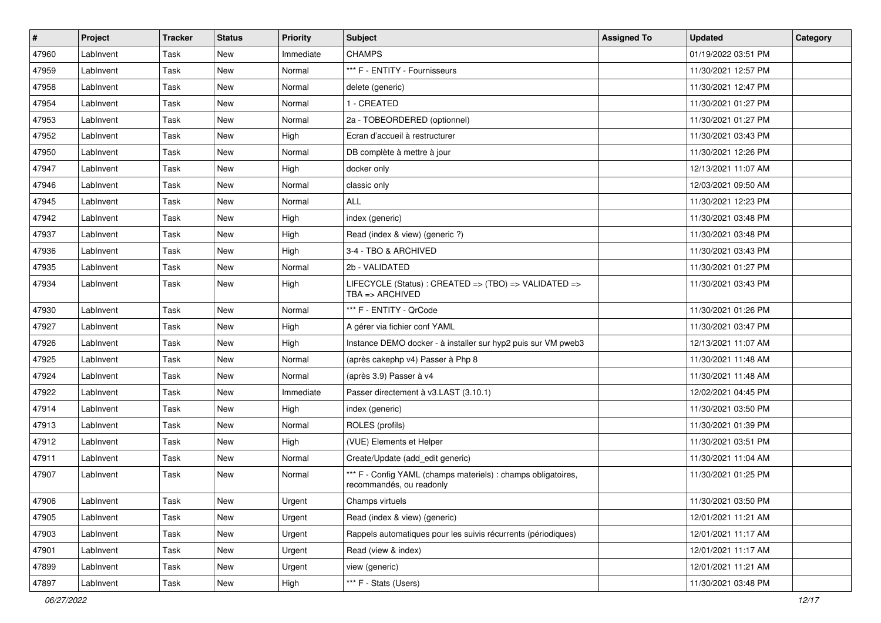| #     | Project   | <b>Tracker</b> | <b>Status</b> | <b>Priority</b> | Subject                                                                                   | <b>Assigned To</b> | <b>Updated</b>      | Category |
|-------|-----------|----------------|---------------|-----------------|-------------------------------------------------------------------------------------------|--------------------|---------------------|----------|
| 47960 | LabInvent | Task           | <b>New</b>    | Immediate       | <b>CHAMPS</b>                                                                             |                    | 01/19/2022 03:51 PM |          |
| 47959 | LabInvent | Task           | <b>New</b>    | Normal          | *** F - ENTITY - Fournisseurs                                                             |                    | 11/30/2021 12:57 PM |          |
| 47958 | LabInvent | Task           | New           | Normal          | delete (generic)                                                                          |                    | 11/30/2021 12:47 PM |          |
| 47954 | LabInvent | Task           | <b>New</b>    | Normal          | 1 - CREATED                                                                               |                    | 11/30/2021 01:27 PM |          |
| 47953 | LabInvent | Task           | <b>New</b>    | Normal          | 2a - TOBEORDERED (optionnel)                                                              |                    | 11/30/2021 01:27 PM |          |
| 47952 | LabInvent | Task           | New           | High            | Ecran d'accueil à restructurer                                                            |                    | 11/30/2021 03:43 PM |          |
| 47950 | LabInvent | Task           | <b>New</b>    | Normal          | DB complète à mettre à jour                                                               |                    | 11/30/2021 12:26 PM |          |
| 47947 | LabInvent | Task           | <b>New</b>    | High            | docker only                                                                               |                    | 12/13/2021 11:07 AM |          |
| 47946 | LabInvent | Task           | <b>New</b>    | Normal          | classic only                                                                              |                    | 12/03/2021 09:50 AM |          |
| 47945 | LabInvent | Task           | <b>New</b>    | Normal          | <b>ALL</b>                                                                                |                    | 11/30/2021 12:23 PM |          |
| 47942 | LabInvent | Task           | <b>New</b>    | High            | index (generic)                                                                           |                    | 11/30/2021 03:48 PM |          |
| 47937 | LabInvent | Task           | <b>New</b>    | High            | Read (index & view) (generic ?)                                                           |                    | 11/30/2021 03:48 PM |          |
| 47936 | LabInvent | Task           | New           | High            | 3-4 - TBO & ARCHIVED                                                                      |                    | 11/30/2021 03:43 PM |          |
| 47935 | LabInvent | Task           | <b>New</b>    | Normal          | 2b - VALIDATED                                                                            |                    | 11/30/2021 01:27 PM |          |
| 47934 | LabInvent | Task           | New           | High            | LIFECYCLE (Status) : CREATED => (TBO) => VALIDATED =><br>TBA => ARCHIVED                  |                    | 11/30/2021 03:43 PM |          |
| 47930 | LabInvent | Task           | <b>New</b>    | Normal          | *** F - ENTITY - QrCode                                                                   |                    | 11/30/2021 01:26 PM |          |
| 47927 | LabInvent | Task           | <b>New</b>    | High            | A gérer via fichier conf YAML                                                             |                    | 11/30/2021 03:47 PM |          |
| 47926 | LabInvent | Task           | New           | High            | Instance DEMO docker - à installer sur hyp2 puis sur VM pweb3                             |                    | 12/13/2021 11:07 AM |          |
| 47925 | LabInvent | Task           | <b>New</b>    | Normal          | (après cakephp v4) Passer à Php 8                                                         |                    | 11/30/2021 11:48 AM |          |
| 47924 | LabInvent | Task           | New           | Normal          | (après 3.9) Passer à v4                                                                   |                    | 11/30/2021 11:48 AM |          |
| 47922 | LabInvent | Task           | New           | Immediate       | Passer directement à v3.LAST (3.10.1)                                                     |                    | 12/02/2021 04:45 PM |          |
| 47914 | LabInvent | Task           | <b>New</b>    | High            | index (generic)                                                                           |                    | 11/30/2021 03:50 PM |          |
| 47913 | LabInvent | Task           | New           | Normal          | ROLES (profils)                                                                           |                    | 11/30/2021 01:39 PM |          |
| 47912 | LabInvent | Task           | <b>New</b>    | High            | (VUE) Elements et Helper                                                                  |                    | 11/30/2021 03:51 PM |          |
| 47911 | LabInvent | Task           | <b>New</b>    | Normal          | Create/Update (add_edit generic)                                                          |                    | 11/30/2021 11:04 AM |          |
| 47907 | LabInvent | Task           | <b>New</b>    | Normal          | *** F - Config YAML (champs materiels) : champs obligatoires,<br>recommandés, ou readonly |                    | 11/30/2021 01:25 PM |          |
| 47906 | LabInvent | Task           | New           | Urgent          | Champs virtuels                                                                           |                    | 11/30/2021 03:50 PM |          |
| 47905 | LabInvent | Task           | New           | Urgent          | Read (index & view) (generic)                                                             |                    | 12/01/2021 11:21 AM |          |
| 47903 | LabInvent | Task           | New           | Urgent          | Rappels automatiques pour les suivis récurrents (périodiques)                             |                    | 12/01/2021 11:17 AM |          |
| 47901 | LabInvent | Task           | New           | Urgent          | Read (view & index)                                                                       |                    | 12/01/2021 11:17 AM |          |
| 47899 | LabInvent | Task           | New           | Urgent          | view (generic)                                                                            |                    | 12/01/2021 11:21 AM |          |
| 47897 | LabInvent | Task           | New           | High            | *** F - Stats (Users)                                                                     |                    | 11/30/2021 03:48 PM |          |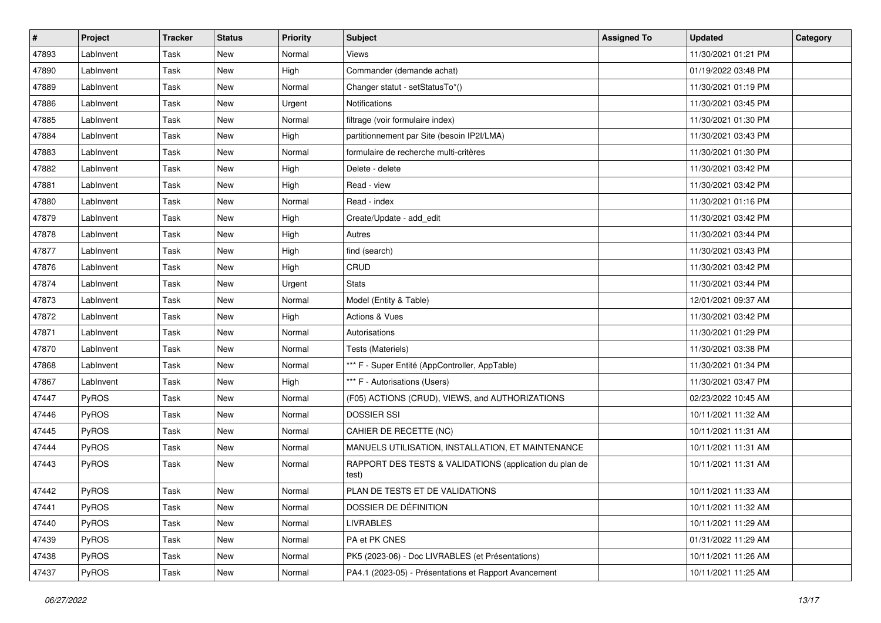| $\vert$ # | Project   | <b>Tracker</b> | <b>Status</b> | <b>Priority</b> | <b>Subject</b>                                                   | <b>Assigned To</b> | <b>Updated</b>      | Category |
|-----------|-----------|----------------|---------------|-----------------|------------------------------------------------------------------|--------------------|---------------------|----------|
| 47893     | LabInvent | Task           | New           | Normal          | Views                                                            |                    | 11/30/2021 01:21 PM |          |
| 47890     | LabInvent | Task           | New           | High            | Commander (demande achat)                                        |                    | 01/19/2022 03:48 PM |          |
| 47889     | LabInvent | Task           | New           | Normal          | Changer statut - setStatusTo*()                                  |                    | 11/30/2021 01:19 PM |          |
| 47886     | LabInvent | Task           | New           | Urgent          | Notifications                                                    |                    | 11/30/2021 03:45 PM |          |
| 47885     | LabInvent | Task           | New           | Normal          | filtrage (voir formulaire index)                                 |                    | 11/30/2021 01:30 PM |          |
| 47884     | LabInvent | Task           | New           | High            | partitionnement par Site (besoin IP2I/LMA)                       |                    | 11/30/2021 03:43 PM |          |
| 47883     | LabInvent | Task           | <b>New</b>    | Normal          | formulaire de recherche multi-critères                           |                    | 11/30/2021 01:30 PM |          |
| 47882     | LabInvent | Task           | New           | High            | Delete - delete                                                  |                    | 11/30/2021 03:42 PM |          |
| 47881     | LabInvent | Task           | New           | High            | Read - view                                                      |                    | 11/30/2021 03:42 PM |          |
| 47880     | LabInvent | Task           | New           | Normal          | Read - index                                                     |                    | 11/30/2021 01:16 PM |          |
| 47879     | LabInvent | Task           | New           | High            | Create/Update - add_edit                                         |                    | 11/30/2021 03:42 PM |          |
| 47878     | LabInvent | Task           | New           | High            | Autres                                                           |                    | 11/30/2021 03:44 PM |          |
| 47877     | LabInvent | Task           | New           | High            | find (search)                                                    |                    | 11/30/2021 03:43 PM |          |
| 47876     | LabInvent | Task           | New           | High            | CRUD                                                             |                    | 11/30/2021 03:42 PM |          |
| 47874     | LabInvent | Task           | New           | Urgent          | <b>Stats</b>                                                     |                    | 11/30/2021 03:44 PM |          |
| 47873     | LabInvent | Task           | New           | Normal          | Model (Entity & Table)                                           |                    | 12/01/2021 09:37 AM |          |
| 47872     | LabInvent | Task           | New           | High            | <b>Actions &amp; Vues</b>                                        |                    | 11/30/2021 03:42 PM |          |
| 47871     | LabInvent | Task           | New           | Normal          | Autorisations                                                    |                    | 11/30/2021 01:29 PM |          |
| 47870     | LabInvent | Task           | New           | Normal          | Tests (Materiels)                                                |                    | 11/30/2021 03:38 PM |          |
| 47868     | LabInvent | Task           | New           | Normal          | *** F - Super Entité (AppController, AppTable)                   |                    | 11/30/2021 01:34 PM |          |
| 47867     | LabInvent | Task           | New           | High            | *** F - Autorisations (Users)                                    |                    | 11/30/2021 03:47 PM |          |
| 47447     | PyROS     | Task           | New           | Normal          | (F05) ACTIONS (CRUD), VIEWS, and AUTHORIZATIONS                  |                    | 02/23/2022 10:45 AM |          |
| 47446     | PyROS     | Task           | New           | Normal          | <b>DOSSIER SSI</b>                                               |                    | 10/11/2021 11:32 AM |          |
| 47445     | PyROS     | Task           | New           | Normal          | CAHIER DE RECETTE (NC)                                           |                    | 10/11/2021 11:31 AM |          |
| 47444     | PyROS     | Task           | New           | Normal          | MANUELS UTILISATION, INSTALLATION, ET MAINTENANCE                |                    | 10/11/2021 11:31 AM |          |
| 47443     | PyROS     | Task           | New           | Normal          | RAPPORT DES TESTS & VALIDATIONS (application du plan de<br>test) |                    | 10/11/2021 11:31 AM |          |
| 47442     | PyROS     | Task           | New           | Normal          | PLAN DE TESTS ET DE VALIDATIONS                                  |                    | 10/11/2021 11:33 AM |          |
| 47441     | PyROS     | Task           | New           | Normal          | DOSSIER DE DÉFINITION                                            |                    | 10/11/2021 11:32 AM |          |
| 47440     | PyROS     | Task           | New           | Normal          | <b>LIVRABLES</b>                                                 |                    | 10/11/2021 11:29 AM |          |
| 47439     | PyROS     | Task           | New           | Normal          | PA et PK CNES                                                    |                    | 01/31/2022 11:29 AM |          |
| 47438     | PyROS     | Task           | New           | Normal          | PK5 (2023-06) - Doc LIVRABLES (et Présentations)                 |                    | 10/11/2021 11:26 AM |          |
| 47437     | PyROS     | Task           | New           | Normal          | PA4.1 (2023-05) - Présentations et Rapport Avancement            |                    | 10/11/2021 11:25 AM |          |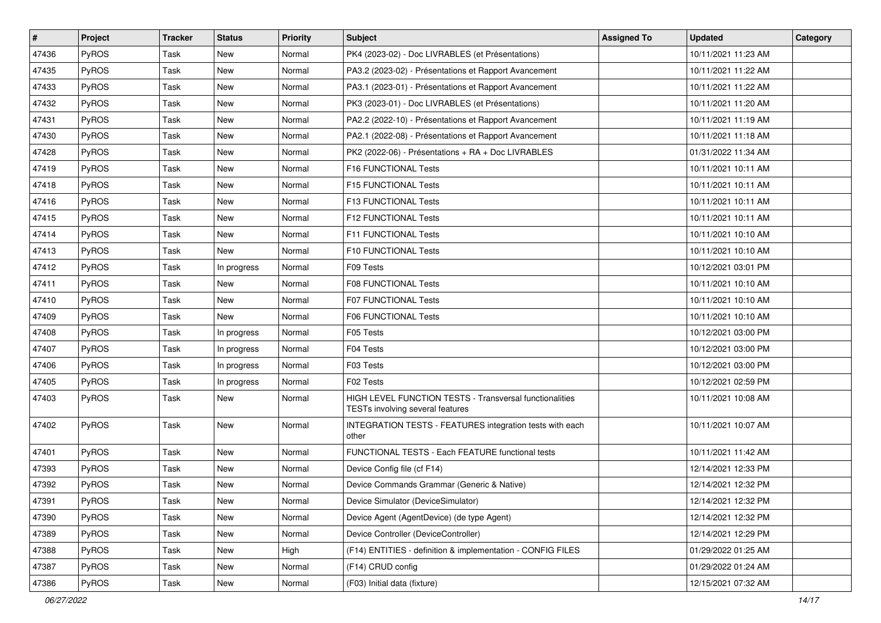| $\vert$ # | Project | <b>Tracker</b> | <b>Status</b> | <b>Priority</b> | <b>Subject</b>                                                                              | <b>Assigned To</b> | <b>Updated</b>      | Category |
|-----------|---------|----------------|---------------|-----------------|---------------------------------------------------------------------------------------------|--------------------|---------------------|----------|
| 47436     | PyROS   | Task           | New           | Normal          | PK4 (2023-02) - Doc LIVRABLES (et Présentations)                                            |                    | 10/11/2021 11:23 AM |          |
| 47435     | PyROS   | Task           | <b>New</b>    | Normal          | PA3.2 (2023-02) - Présentations et Rapport Avancement                                       |                    | 10/11/2021 11:22 AM |          |
| 47433     | PyROS   | Task           | New           | Normal          | PA3.1 (2023-01) - Présentations et Rapport Avancement                                       |                    | 10/11/2021 11:22 AM |          |
| 47432     | PyROS   | Task           | New           | Normal          | PK3 (2023-01) - Doc LIVRABLES (et Présentations)                                            |                    | 10/11/2021 11:20 AM |          |
| 47431     | PyROS   | Task           | New           | Normal          | PA2.2 (2022-10) - Présentations et Rapport Avancement                                       |                    | 10/11/2021 11:19 AM |          |
| 47430     | PyROS   | Task           | New           | Normal          | PA2.1 (2022-08) - Présentations et Rapport Avancement                                       |                    | 10/11/2021 11:18 AM |          |
| 47428     | PyROS   | Task           | New           | Normal          | PK2 (2022-06) - Présentations + RA + Doc LIVRABLES                                          |                    | 01/31/2022 11:34 AM |          |
| 47419     | PyROS   | Task           | New           | Normal          | F16 FUNCTIONAL Tests                                                                        |                    | 10/11/2021 10:11 AM |          |
| 47418     | PyROS   | Task           | New           | Normal          | F15 FUNCTIONAL Tests                                                                        |                    | 10/11/2021 10:11 AM |          |
| 47416     | PyROS   | Task           | New           | Normal          | F13 FUNCTIONAL Tests                                                                        |                    | 10/11/2021 10:11 AM |          |
| 47415     | PyROS   | Task           | New           | Normal          | <b>F12 FUNCTIONAL Tests</b>                                                                 |                    | 10/11/2021 10:11 AM |          |
| 47414     | PyROS   | Task           | New           | Normal          | F11 FUNCTIONAL Tests                                                                        |                    | 10/11/2021 10:10 AM |          |
| 47413     | PyROS   | Task           | New           | Normal          | F10 FUNCTIONAL Tests                                                                        |                    | 10/11/2021 10:10 AM |          |
| 47412     | PyROS   | Task           | In progress   | Normal          | F09 Tests                                                                                   |                    | 10/12/2021 03:01 PM |          |
| 47411     | PyROS   | Task           | New           | Normal          | F08 FUNCTIONAL Tests                                                                        |                    | 10/11/2021 10:10 AM |          |
| 47410     | PyROS   | Task           | New           | Normal          | <b>F07 FUNCTIONAL Tests</b>                                                                 |                    | 10/11/2021 10:10 AM |          |
| 47409     | PyROS   | Task           | New           | Normal          | F06 FUNCTIONAL Tests                                                                        |                    | 10/11/2021 10:10 AM |          |
| 47408     | PyROS   | Task           | In progress   | Normal          | F05 Tests                                                                                   |                    | 10/12/2021 03:00 PM |          |
| 47407     | PyROS   | Task           | In progress   | Normal          | F04 Tests                                                                                   |                    | 10/12/2021 03:00 PM |          |
| 47406     | PyROS   | Task           | In progress   | Normal          | F03 Tests                                                                                   |                    | 10/12/2021 03:00 PM |          |
| 47405     | PyROS   | Task           | In progress   | Normal          | F02 Tests                                                                                   |                    | 10/12/2021 02:59 PM |          |
| 47403     | PyROS   | Task           | New           | Normal          | HIGH LEVEL FUNCTION TESTS - Transversal functionalities<br>TESTs involving several features |                    | 10/11/2021 10:08 AM |          |
| 47402     | PyROS   | Task           | New           | Normal          | INTEGRATION TESTS - FEATURES integration tests with each<br>other                           |                    | 10/11/2021 10:07 AM |          |
| 47401     | PyROS   | Task           | <b>New</b>    | Normal          | FUNCTIONAL TESTS - Each FEATURE functional tests                                            |                    | 10/11/2021 11:42 AM |          |
| 47393     | PyROS   | Task           | New           | Normal          | Device Config file (cf F14)                                                                 |                    | 12/14/2021 12:33 PM |          |
| 47392     | PyROS   | Task           | <b>New</b>    | Normal          | Device Commands Grammar (Generic & Native)                                                  |                    | 12/14/2021 12:32 PM |          |
| 47391     | PyROS   | Task           | New           | Normal          | Device Simulator (DeviceSimulator)                                                          |                    | 12/14/2021 12:32 PM |          |
| 47390     | PyROS   | Task           | New           | Normal          | Device Agent (AgentDevice) (de type Agent)                                                  |                    | 12/14/2021 12:32 PM |          |
| 47389     | PyROS   | Task           | New           | Normal          | Device Controller (DeviceController)                                                        |                    | 12/14/2021 12:29 PM |          |
| 47388     | PyROS   | Task           | New           | High            | (F14) ENTITIES - definition & implementation - CONFIG FILES                                 |                    | 01/29/2022 01:25 AM |          |
| 47387     | PyROS   | Task           | New           | Normal          | (F14) CRUD config                                                                           |                    | 01/29/2022 01:24 AM |          |
| 47386     | PyROS   | Task           | New           | Normal          | (F03) Initial data (fixture)                                                                |                    | 12/15/2021 07:32 AM |          |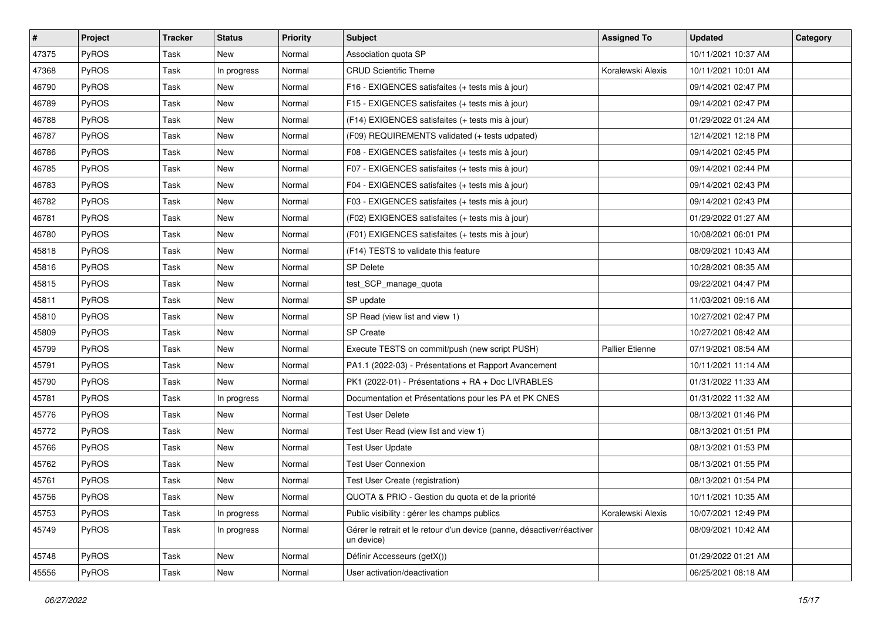| #     | Project      | <b>Tracker</b> | <b>Status</b> | Priority | <b>Subject</b>                                                                       | <b>Assigned To</b> | <b>Updated</b>      | Category |
|-------|--------------|----------------|---------------|----------|--------------------------------------------------------------------------------------|--------------------|---------------------|----------|
| 47375 | PyROS        | Task           | New           | Normal   | Association quota SP                                                                 |                    | 10/11/2021 10:37 AM |          |
| 47368 | PyROS        | Task           | In progress   | Normal   | <b>CRUD Scientific Theme</b>                                                         | Koralewski Alexis  | 10/11/2021 10:01 AM |          |
| 46790 | <b>PyROS</b> | Task           | New           | Normal   | F16 - EXIGENCES satisfaites (+ tests mis à jour)                                     |                    | 09/14/2021 02:47 PM |          |
| 46789 | PyROS        | Task           | New           | Normal   | F15 - EXIGENCES satisfaites (+ tests mis à jour)                                     |                    | 09/14/2021 02:47 PM |          |
| 46788 | PyROS        | Task           | New           | Normal   | (F14) EXIGENCES satisfaites (+ tests mis à jour)                                     |                    | 01/29/2022 01:24 AM |          |
| 46787 | PyROS        | Task           | New           | Normal   | (F09) REQUIREMENTS validated (+ tests udpated)                                       |                    | 12/14/2021 12:18 PM |          |
| 46786 | PyROS        | Task           | <b>New</b>    | Normal   | F08 - EXIGENCES satisfaites (+ tests mis à jour)                                     |                    | 09/14/2021 02:45 PM |          |
| 46785 | <b>PyROS</b> | Task           | New           | Normal   | F07 - EXIGENCES satisfaites (+ tests mis à jour)                                     |                    | 09/14/2021 02:44 PM |          |
| 46783 | PyROS        | Task           | New           | Normal   | F04 - EXIGENCES satisfaites (+ tests mis à jour)                                     |                    | 09/14/2021 02:43 PM |          |
| 46782 | PyROS        | Task           | New           | Normal   | F03 - EXIGENCES satisfaites (+ tests mis à jour)                                     |                    | 09/14/2021 02:43 PM |          |
| 46781 | PyROS        | Task           | New           | Normal   | (F02) EXIGENCES satisfaites (+ tests mis à jour)                                     |                    | 01/29/2022 01:27 AM |          |
| 46780 | PyROS        | Task           | New           | Normal   | (F01) EXIGENCES satisfaites (+ tests mis à jour)                                     |                    | 10/08/2021 06:01 PM |          |
| 45818 | PyROS        | Task           | New           | Normal   | (F14) TESTS to validate this feature                                                 |                    | 08/09/2021 10:43 AM |          |
| 45816 | PyROS        | Task           | <b>New</b>    | Normal   | <b>SP Delete</b>                                                                     |                    | 10/28/2021 08:35 AM |          |
| 45815 | PyROS        | Task           | New           | Normal   | test_SCP_manage_quota                                                                |                    | 09/22/2021 04:47 PM |          |
| 45811 | <b>PyROS</b> | Task           | New           | Normal   | SP update                                                                            |                    | 11/03/2021 09:16 AM |          |
| 45810 | PyROS        | Task           | New           | Normal   | SP Read (view list and view 1)                                                       |                    | 10/27/2021 02:47 PM |          |
| 45809 | PyROS        | Task           | New           | Normal   | <b>SP Create</b>                                                                     |                    | 10/27/2021 08:42 AM |          |
| 45799 | PyROS        | Task           | New           | Normal   | Execute TESTS on commit/push (new script PUSH)                                       | Pallier Etienne    | 07/19/2021 08:54 AM |          |
| 45791 | PyROS        | Task           | New           | Normal   | PA1.1 (2022-03) - Présentations et Rapport Avancement                                |                    | 10/11/2021 11:14 AM |          |
| 45790 | PyROS        | Task           | <b>New</b>    | Normal   | PK1 (2022-01) - Présentations + RA + Doc LIVRABLES                                   |                    | 01/31/2022 11:33 AM |          |
| 45781 | PyROS        | Task           | In progress   | Normal   | Documentation et Présentations pour les PA et PK CNES                                |                    | 01/31/2022 11:32 AM |          |
| 45776 | PyROS        | Task           | <b>New</b>    | Normal   | <b>Test User Delete</b>                                                              |                    | 08/13/2021 01:46 PM |          |
| 45772 | PyROS        | Task           | New           | Normal   | Test User Read (view list and view 1)                                                |                    | 08/13/2021 01:51 PM |          |
| 45766 | PyROS        | Task           | <b>New</b>    | Normal   | <b>Test User Update</b>                                                              |                    | 08/13/2021 01:53 PM |          |
| 45762 | <b>PyROS</b> | Task           | New           | Normal   | <b>Test User Connexion</b>                                                           |                    | 08/13/2021 01:55 PM |          |
| 45761 | PyROS        | Task           | <b>New</b>    | Normal   | Test User Create (registration)                                                      |                    | 08/13/2021 01:54 PM |          |
| 45756 | PyROS        | Task           | New           | Normal   | QUOTA & PRIO - Gestion du quota et de la priorité                                    |                    | 10/11/2021 10:35 AM |          |
| 45753 | PyROS        | Task           | In progress   | Normal   | Public visibility: gérer les champs publics                                          | Koralewski Alexis  | 10/07/2021 12:49 PM |          |
| 45749 | PyROS        | Task           | In progress   | Normal   | Gérer le retrait et le retour d'un device (panne, désactiver/réactiver<br>un device) |                    | 08/09/2021 10:42 AM |          |
| 45748 | PyROS        | Task           | New           | Normal   | Définir Accesseurs (getX())                                                          |                    | 01/29/2022 01:21 AM |          |
| 45556 | PyROS        | Task           | New           | Normal   | User activation/deactivation                                                         |                    | 06/25/2021 08:18 AM |          |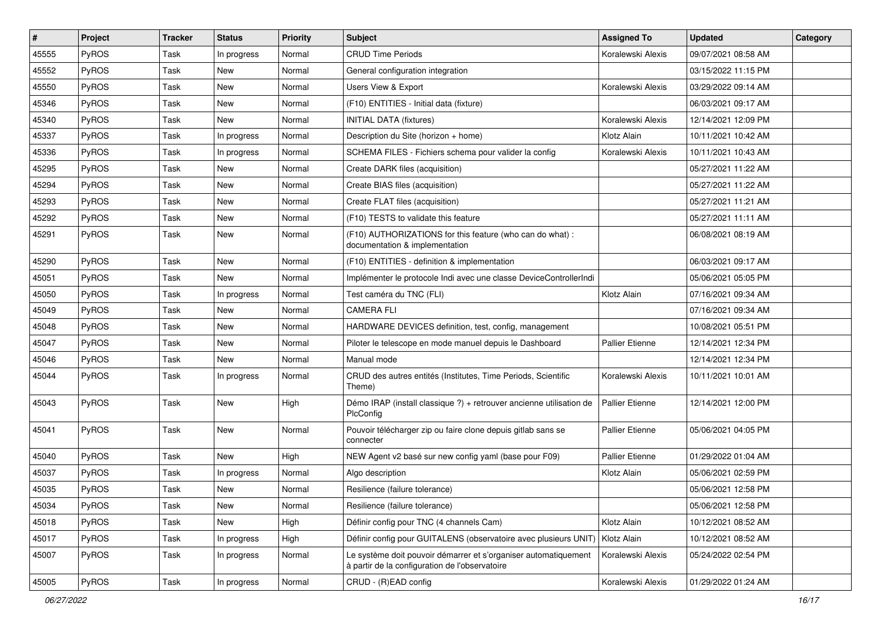| $\vert$ # | Project      | <b>Tracker</b> | <b>Status</b> | <b>Priority</b> | Subject                                                                                                           | <b>Assigned To</b>     | <b>Updated</b>      | Category |
|-----------|--------------|----------------|---------------|-----------------|-------------------------------------------------------------------------------------------------------------------|------------------------|---------------------|----------|
| 45555     | PyROS        | Task           | In progress   | Normal          | <b>CRUD Time Periods</b>                                                                                          | Koralewski Alexis      | 09/07/2021 08:58 AM |          |
| 45552     | PyROS        | Task           | <b>New</b>    | Normal          | General configuration integration                                                                                 |                        | 03/15/2022 11:15 PM |          |
| 45550     | PyROS        | Task           | New           | Normal          | Users View & Export                                                                                               | Koralewski Alexis      | 03/29/2022 09:14 AM |          |
| 45346     | PyROS        | Task           | <b>New</b>    | Normal          | (F10) ENTITIES - Initial data (fixture)                                                                           |                        | 06/03/2021 09:17 AM |          |
| 45340     | PyROS        | Task           | <b>New</b>    | Normal          | <b>INITIAL DATA (fixtures)</b>                                                                                    | Koralewski Alexis      | 12/14/2021 12:09 PM |          |
| 45337     | <b>PyROS</b> | Task           | In progress   | Normal          | Description du Site (horizon + home)                                                                              | Klotz Alain            | 10/11/2021 10:42 AM |          |
| 45336     | PyROS        | Task           | In progress   | Normal          | SCHEMA FILES - Fichiers schema pour valider la config                                                             | Koralewski Alexis      | 10/11/2021 10:43 AM |          |
| 45295     | PyROS        | Task           | New           | Normal          | Create DARK files (acquisition)                                                                                   |                        | 05/27/2021 11:22 AM |          |
| 45294     | PyROS        | Task           | <b>New</b>    | Normal          | Create BIAS files (acquisition)                                                                                   |                        | 05/27/2021 11:22 AM |          |
| 45293     | PyROS        | Task           | <b>New</b>    | Normal          | Create FLAT files (acquisition)                                                                                   |                        | 05/27/2021 11:21 AM |          |
| 45292     | <b>PyROS</b> | Task           | <b>New</b>    | Normal          | (F10) TESTS to validate this feature                                                                              |                        | 05/27/2021 11:11 AM |          |
| 45291     | PyROS        | Task           | New           | Normal          | (F10) AUTHORIZATIONS for this feature (who can do what):<br>documentation & implementation                        |                        | 06/08/2021 08:19 AM |          |
| 45290     | PyROS        | Task           | New           | Normal          | (F10) ENTITIES - definition & implementation                                                                      |                        | 06/03/2021 09:17 AM |          |
| 45051     | PyROS        | Task           | <b>New</b>    | Normal          | Implémenter le protocole Indi avec une classe DeviceControllerIndi                                                |                        | 05/06/2021 05:05 PM |          |
| 45050     | PyROS        | Task           | In progress   | Normal          | Test caméra du TNC (FLI)                                                                                          | Klotz Alain            | 07/16/2021 09:34 AM |          |
| 45049     | PyROS        | Task           | <b>New</b>    | Normal          | <b>CAMERA FLI</b>                                                                                                 |                        | 07/16/2021 09:34 AM |          |
| 45048     | PyROS        | Task           | <b>New</b>    | Normal          | HARDWARE DEVICES definition, test, config, management                                                             |                        | 10/08/2021 05:51 PM |          |
| 45047     | <b>PyROS</b> | Task           | <b>New</b>    | Normal          | Piloter le telescope en mode manuel depuis le Dashboard                                                           | <b>Pallier Etienne</b> | 12/14/2021 12:34 PM |          |
| 45046     | PyROS        | Task           | New           | Normal          | Manual mode                                                                                                       |                        | 12/14/2021 12:34 PM |          |
| 45044     | <b>PyROS</b> | Task           | In progress   | Normal          | CRUD des autres entités (Institutes, Time Periods, Scientific<br>Theme)                                           | Koralewski Alexis      | 10/11/2021 10:01 AM |          |
| 45043     | PyROS        | Task           | New           | High            | Démo IRAP (install classique ?) + retrouver ancienne utilisation de<br>PlcConfig                                  | <b>Pallier Etienne</b> | 12/14/2021 12:00 PM |          |
| 45041     | PyROS        | Task           | <b>New</b>    | Normal          | Pouvoir télécharger zip ou faire clone depuis gitlab sans se<br>connecter                                         | Pallier Etienne        | 05/06/2021 04:05 PM |          |
| 45040     | PyROS        | Task           | <b>New</b>    | High            | NEW Agent v2 basé sur new config yaml (base pour F09)                                                             | <b>Pallier Etienne</b> | 01/29/2022 01:04 AM |          |
| 45037     | PyROS        | Task           | In progress   | Normal          | Algo description                                                                                                  | Klotz Alain            | 05/06/2021 02:59 PM |          |
| 45035     | PyROS        | Task           | <b>New</b>    | Normal          | Resilience (failure tolerance)                                                                                    |                        | 05/06/2021 12:58 PM |          |
| 45034     | PyROS        | Task           | New           | Normal          | Resilience (failure tolerance)                                                                                    |                        | 05/06/2021 12:58 PM |          |
| 45018     | PyROS        | Task           | New           | High            | Définir config pour TNC (4 channels Cam)                                                                          | Klotz Alain            | 10/12/2021 08:52 AM |          |
| 45017     | PyROS        | Task           | In progress   | High            | Définir config pour GUITALENS (observatoire avec plusieurs UNIT)   Klotz Alain                                    |                        | 10/12/2021 08:52 AM |          |
| 45007     | PyROS        | Task           | In progress   | Normal          | Le système doit pouvoir démarrer et s'organiser automatiquement<br>à partir de la configuration de l'observatoire | Koralewski Alexis      | 05/24/2022 02:54 PM |          |
| 45005     | PyROS        | Task           | In progress   | Normal          | CRUD - (R)EAD config                                                                                              | Koralewski Alexis      | 01/29/2022 01:24 AM |          |